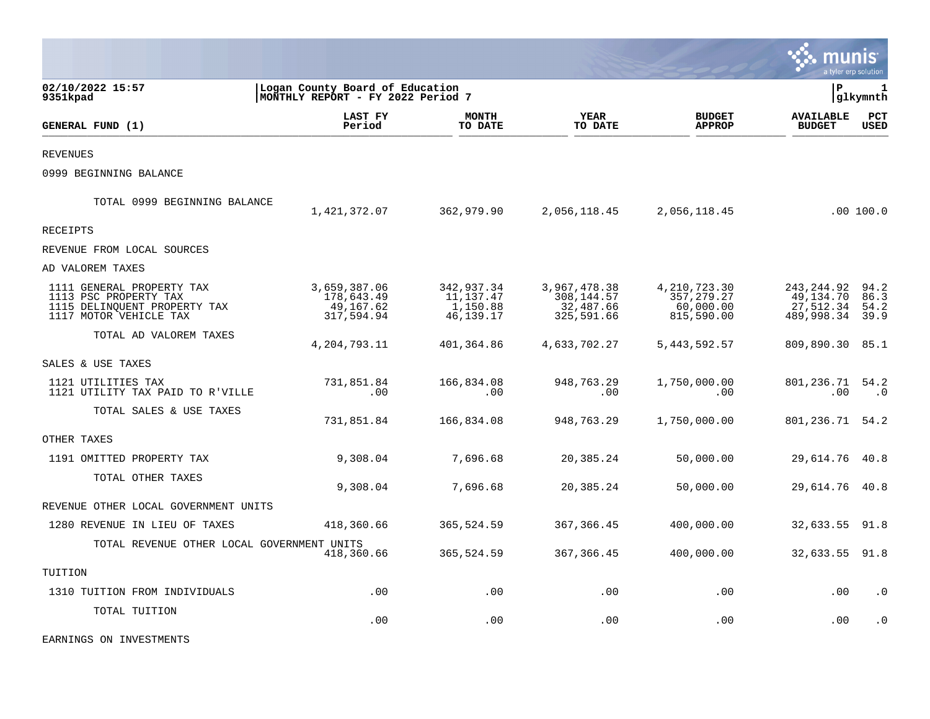|                                                                                                              |                                                                      |                                                  |                                                       |                                                          |                                                    | a tyler erp solution         |
|--------------------------------------------------------------------------------------------------------------|----------------------------------------------------------------------|--------------------------------------------------|-------------------------------------------------------|----------------------------------------------------------|----------------------------------------------------|------------------------------|
| 02/10/2022 15:57<br>9351kpad                                                                                 | Logan County Board of Education<br>MONTHLY REPORT - FY 2022 Period 7 |                                                  |                                                       |                                                          | ΙP                                                 | 1<br>glkymnth                |
| GENERAL FUND (1)                                                                                             | LAST FY<br>Period                                                    | <b>MONTH</b><br>TO DATE                          | <b>YEAR</b><br>TO DATE                                | <b>BUDGET</b><br><b>APPROP</b>                           | <b>AVAILABLE</b><br><b>BUDGET</b>                  | PCT<br>USED                  |
| <b>REVENUES</b>                                                                                              |                                                                      |                                                  |                                                       |                                                          |                                                    |                              |
| 0999 BEGINNING BALANCE                                                                                       |                                                                      |                                                  |                                                       |                                                          |                                                    |                              |
| TOTAL 0999 BEGINNING BALANCE                                                                                 | 1,421,372.07                                                         | 362,979.90                                       | 2,056,118.45                                          | 2,056,118.45                                             |                                                    | .00 100.0                    |
| RECEIPTS                                                                                                     |                                                                      |                                                  |                                                       |                                                          |                                                    |                              |
| REVENUE FROM LOCAL SOURCES                                                                                   |                                                                      |                                                  |                                                       |                                                          |                                                    |                              |
| AD VALOREM TAXES                                                                                             |                                                                      |                                                  |                                                       |                                                          |                                                    |                              |
| 1111 GENERAL PROPERTY TAX<br>1113 PSC PROPERTY TAX<br>1115 DELINQUENT PROPERTY TAX<br>1117 MOTOR VEHICLE TAX | 3,659,387.06<br>178,643.49<br>49,167.62<br>317,594.94                | 342,937.34<br>11,137.47<br>1,150.88<br>46,139.17 | 3,967,478.38<br>308,144.57<br>32,487.66<br>325,591.66 | 4, 210, 723.30<br>357, 279.27<br>60,000.00<br>815,590.00 | 243,244.92<br>49,134.70<br>27,512.34<br>489,998.34 | 94.2<br>86.3<br>54.2<br>39.9 |
| TOTAL AD VALOREM TAXES                                                                                       | 4, 204, 793. 11                                                      | 401,364.86                                       | 4,633,702.27                                          | 5, 443, 592.57                                           | 809,890.30                                         | 85.1                         |
| SALES & USE TAXES                                                                                            |                                                                      |                                                  |                                                       |                                                          |                                                    |                              |
| 1121 UTILITIES TAX<br>1121 UTILITY TAX PAID TO R'VILLE                                                       | 731,851.84<br>.00                                                    | 166,834.08<br>.00                                | 948,763.29<br>.00                                     | 1,750,000.00<br>.00                                      | 801,236.71<br>.00                                  | 54.2<br>$\cdot$ 0            |
| TOTAL SALES & USE TAXES                                                                                      | 731,851.84                                                           | 166,834.08                                       | 948,763.29                                            | 1,750,000.00                                             | 801,236.71                                         | 54.2                         |
| OTHER TAXES                                                                                                  |                                                                      |                                                  |                                                       |                                                          |                                                    |                              |
| 1191 OMITTED PROPERTY TAX                                                                                    | 9,308.04                                                             | 7,696.68                                         | 20,385.24                                             | 50,000.00                                                | 29,614.76                                          | 40.8                         |
| TOTAL OTHER TAXES                                                                                            | 9,308.04                                                             | 7,696.68                                         | 20,385.24                                             | 50,000.00                                                | 29,614.76                                          | 40.8                         |
| REVENUE OTHER LOCAL GOVERNMENT UNITS                                                                         |                                                                      |                                                  |                                                       |                                                          |                                                    |                              |
| 1280 REVENUE IN LIEU OF TAXES                                                                                | 418,360.66                                                           | 365,524.59                                       | 367, 366.45                                           | 400,000.00                                               | 32,633.55                                          | 91.8                         |
| TOTAL REVENUE OTHER LOCAL GOVERNMENT UNITS                                                                   | 418,360.66                                                           | 365,524.59                                       | 367, 366.45                                           | 400,000.00                                               | 32,633.55                                          | 91.8                         |
| TUITION                                                                                                      |                                                                      |                                                  |                                                       |                                                          |                                                    |                              |
| 1310 TUITION FROM INDIVIDUALS                                                                                | .00                                                                  | .00                                              | .00                                                   | .00                                                      | .00                                                | $\cdot$ 0                    |
| TOTAL TUITION                                                                                                | .00                                                                  | .00                                              | .00                                                   | .00                                                      | .00                                                | $\cdot$ 0                    |

EARNINGS ON INVESTMENTS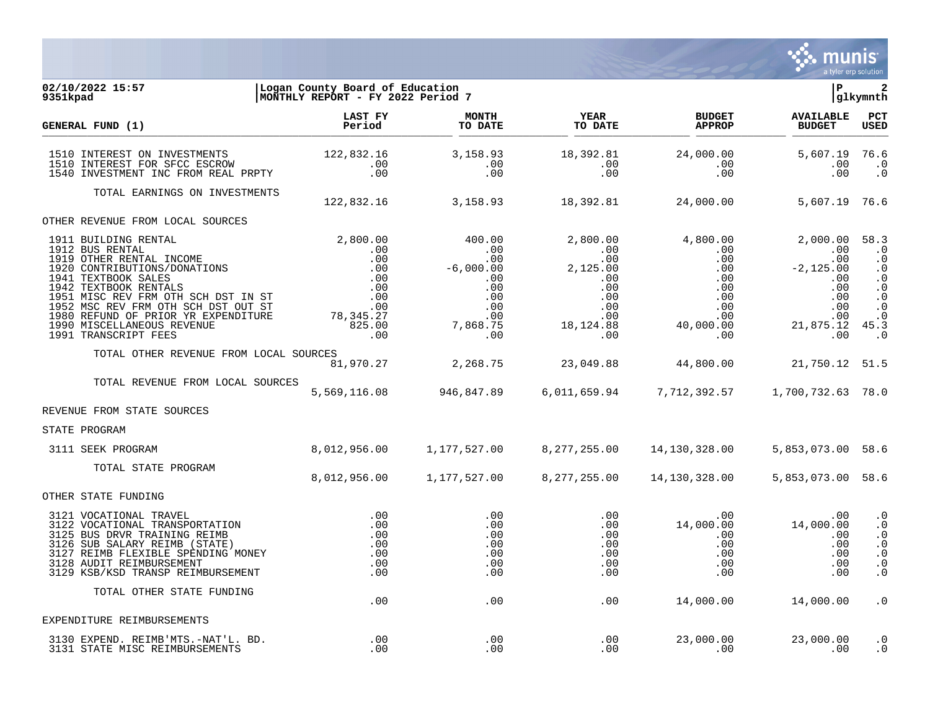

#### **02/10/2022 15:57 |Logan County Board of Education |P 2 9351kpad |MONTHLY REPORT - FY 2022 Period 7 |glkymnth**

| GENERAL FUND (1)                                                                                                                                                                                                                 | <b>LAST FY</b><br>Period                                                        | <b>MONTH</b><br>TO DATE                       | <b>YEAR</b><br>TO DATE        | <b>BUDGET</b><br><b>APPROP</b>                                           | <b>AVAILABLE</b><br><b>BUDGET</b> | PCT<br><b>USED</b>                                                                      |
|----------------------------------------------------------------------------------------------------------------------------------------------------------------------------------------------------------------------------------|---------------------------------------------------------------------------------|-----------------------------------------------|-------------------------------|--------------------------------------------------------------------------|-----------------------------------|-----------------------------------------------------------------------------------------|
| 1510 INTEREST ON INVESTMENTS<br>1510 INTEREST FOR SFCC ESCROW<br>1540 INVESTMENT INC FROM REAL PRPTY                                                                                                                             | $122,832.16$<br>$00$<br>$\begin{array}{c} \cdot & 00 \\ \cdot & 00 \end{array}$ | 3,158.93<br>$\cdot\,00$<br>.00                | 18,392.81<br>$\sim 00$<br>.00 | 24,000.00<br>.00<br>.00                                                  | 5,607.19 76.6<br>$.00 \,$<br>.00  | $\cdot$ 0<br>$\cdot$ 0                                                                  |
| TOTAL EARNINGS ON INVESTMENTS                                                                                                                                                                                                    |                                                                                 |                                               |                               | 122,832.16 3,158.93 18,392.81 24,000.00 5,607.19 76.6                    |                                   |                                                                                         |
| OTHER REVENUE FROM LOCAL SOURCES                                                                                                                                                                                                 |                                                                                 |                                               |                               |                                                                          |                                   |                                                                                         |
|                                                                                                                                                                                                                                  |                                                                                 |                                               |                               |                                                                          |                                   |                                                                                         |
| TOTAL OTHER REVENUE FROM LOCAL SOURCES                                                                                                                                                                                           |                                                                                 |                                               |                               |                                                                          |                                   |                                                                                         |
| TOTAL REVENUE FROM LOCAL SOURCES                                                                                                                                                                                                 |                                                                                 |                                               |                               | 5,569,116.08  946,847.89  6,011,659.94  7,712,392.57  1,700,732.63  78.0 |                                   |                                                                                         |
| REVENUE FROM STATE SOURCES                                                                                                                                                                                                       |                                                                                 |                                               |                               |                                                                          |                                   |                                                                                         |
| STATE PROGRAM                                                                                                                                                                                                                    |                                                                                 |                                               |                               |                                                                          |                                   |                                                                                         |
| 3111 SEEK PROGRAM                                                                                                                                                                                                                |                                                                                 |                                               |                               |                                                                          | 5,853,073.00 58.6                 |                                                                                         |
| TOTAL STATE PROGRAM                                                                                                                                                                                                              | 8,012,956.00                                                                    | 1,177,527.00                                  | 8,277,255.00                  | 14,130,328.00                                                            | 5,853,073.00 58.6                 |                                                                                         |
| OTHER STATE FUNDING                                                                                                                                                                                                              |                                                                                 |                                               |                               |                                                                          |                                   |                                                                                         |
| 3121 VOCATIONAL TRAVEL<br>3122 VOCATIONAL TRANSPORTATION<br>3125 BUS DRVR TRAINING REIMB<br>3126 SUB SALARY REIMB (STATE)<br>3127 REIMB FLEXIBLE SPENDING MONEY<br>3128 AUDIT REIMBURSEMENT<br>3129 KSB/KSD TRANSP REIMBURSEMENT | $\begin{array}{c} .00\ .00\ .00 \end{array}$<br>.00<br>.00<br>.00<br>.00        | .00<br>.00<br>.00<br>.00<br>.00<br>.00<br>.00 | .00                           | .00                                                                      | .00                               | $\cdot$ 0<br>$\cdot$ 0<br>$\cdot$ 0<br>$\cdot$ 0<br>$\cdot$ 0<br>$\cdot$ 0<br>$\cdot$ 0 |
| TOTAL OTHER STATE FUNDING                                                                                                                                                                                                        | .00                                                                             | .00                                           | .00                           |                                                                          | 14,000.00   14,000.00             | $\cdot$ 0                                                                               |
| EXPENDITURE REIMBURSEMENTS                                                                                                                                                                                                       |                                                                                 |                                               |                               |                                                                          |                                   |                                                                                         |
| 3130 EXPEND. REIMB'MTS.-NAT'L. BD.<br>3131 STATE MISC REIMBURSEMENTS                                                                                                                                                             | .00<br>.00.                                                                     | .00<br>.00                                    | .00<br>.00                    | 23,000.00<br>.00                                                         | 23,000.00<br>$\sim$ 00            | $\cdot$ 0<br>$\cdot$ 0                                                                  |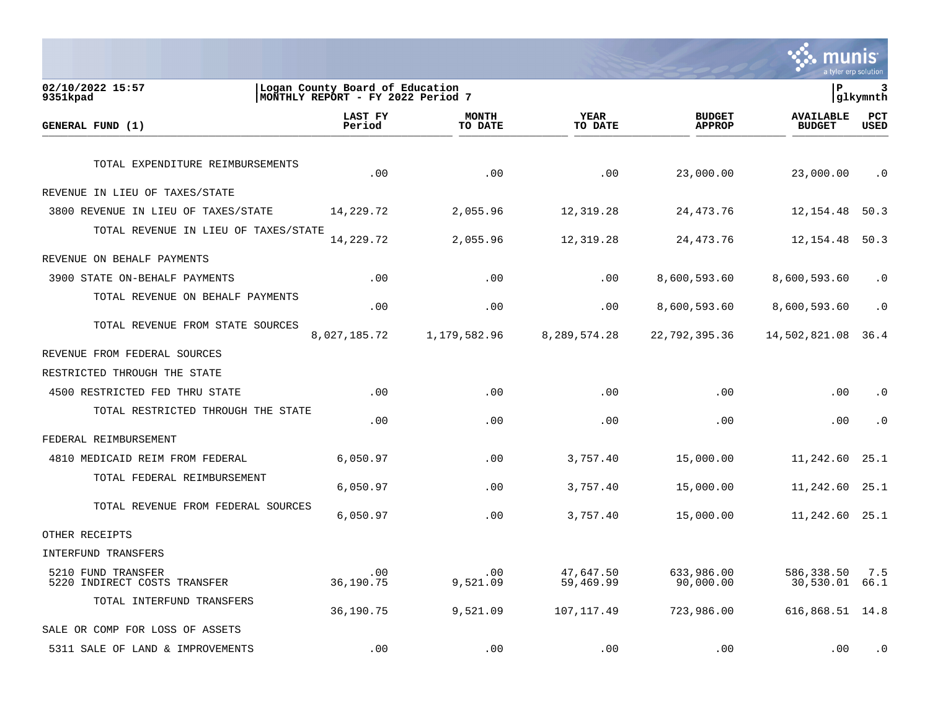Second Munister and Solution

| 02/10/2022 15:57<br>9351kpad                       | Logan County Board of Education<br> MONTHLY REPORT - FY 2022 Period 7 |                         |                        |                                | lР                                | 3<br> glkymnth     |
|----------------------------------------------------|-----------------------------------------------------------------------|-------------------------|------------------------|--------------------------------|-----------------------------------|--------------------|
| GENERAL FUND (1)                                   | LAST FY<br>Period                                                     | <b>MONTH</b><br>TO DATE | YEAR<br>TO DATE        | <b>BUDGET</b><br><b>APPROP</b> | <b>AVAILABLE</b><br><b>BUDGET</b> | PCT<br><b>USED</b> |
| TOTAL EXPENDITURE REIMBURSEMENTS                   | .00                                                                   | .00                     | .00                    | 23,000.00                      | 23,000.00                         | $\cdot$ 0          |
| REVENUE IN LIEU OF TAXES/STATE                     |                                                                       |                         |                        |                                |                                   |                    |
| 3800 REVENUE IN LIEU OF TAXES/STATE                | 14,229.72                                                             | 2,055.96                | 12,319.28              | 24, 473. 76                    | 12,154.48                         | 50.3               |
| TOTAL REVENUE IN LIEU OF TAXES/STATE               | 14,229.72                                                             | 2,055.96                | 12,319.28              | 24, 473. 76                    | 12, 154.48                        | 50.3               |
| REVENUE ON BEHALF PAYMENTS                         |                                                                       |                         |                        |                                |                                   |                    |
| 3900 STATE ON-BEHALF PAYMENTS                      | .00                                                                   | .00                     | .00                    | 8,600,593.60                   | 8,600,593.60                      | . 0                |
| TOTAL REVENUE ON BEHALF PAYMENTS                   | .00                                                                   | .00                     | .00                    | 8,600,593.60                   | 8,600,593.60                      | $\cdot$ 0          |
| TOTAL REVENUE FROM STATE SOURCES                   | 8,027,185.72                                                          | 1,179,582.96            | 8,289,574.28           | 22,792,395.36                  | 14,502,821.08                     | 36.4               |
| REVENUE FROM FEDERAL SOURCES                       |                                                                       |                         |                        |                                |                                   |                    |
| RESTRICTED THROUGH THE STATE                       |                                                                       |                         |                        |                                |                                   |                    |
| 4500 RESTRICTED FED THRU STATE                     | .00                                                                   | .00                     | .00                    | .00                            | .00                               | $\cdot$ 0          |
| TOTAL RESTRICTED THROUGH THE STATE                 | .00                                                                   | .00                     | .00                    | .00                            | .00                               | $\cdot$ 0          |
| FEDERAL REIMBURSEMENT                              |                                                                       |                         |                        |                                |                                   |                    |
| 4810 MEDICAID REIM FROM FEDERAL                    | 6,050.97                                                              | .00                     | 3,757.40               | 15,000.00                      | 11,242.60                         | 25.1               |
| TOTAL FEDERAL REIMBURSEMENT                        | 6,050.97                                                              | .00                     | 3,757.40               | 15,000.00                      | 11,242.60                         | 25.1               |
| TOTAL REVENUE FROM FEDERAL SOURCES                 | 6,050.97                                                              | .00                     | 3,757.40               | 15,000.00                      | 11,242.60                         | 25.1               |
| OTHER RECEIPTS                                     |                                                                       |                         |                        |                                |                                   |                    |
| INTERFUND TRANSFERS                                |                                                                       |                         |                        |                                |                                   |                    |
| 5210 FUND TRANSFER<br>5220 INDIRECT COSTS TRANSFER | .00<br>36,190.75                                                      | .00<br>9,521.09         | 47,647.50<br>59,469.99 | 633,986.00<br>90,000.00        | 586,338.50<br>30,530.01           | 7.5<br>66.1        |
| TOTAL INTERFUND TRANSFERS                          | 36,190.75                                                             | 9,521.09                | 107, 117.49            | 723,986.00                     | 616,868.51                        | 14.8               |
| SALE OR COMP FOR LOSS OF ASSETS                    |                                                                       |                         |                        |                                |                                   |                    |
| 5311 SALE OF LAND & IMPROVEMENTS                   | .00                                                                   | .00                     | .00                    | .00                            | .00                               | $\cdot$ 0          |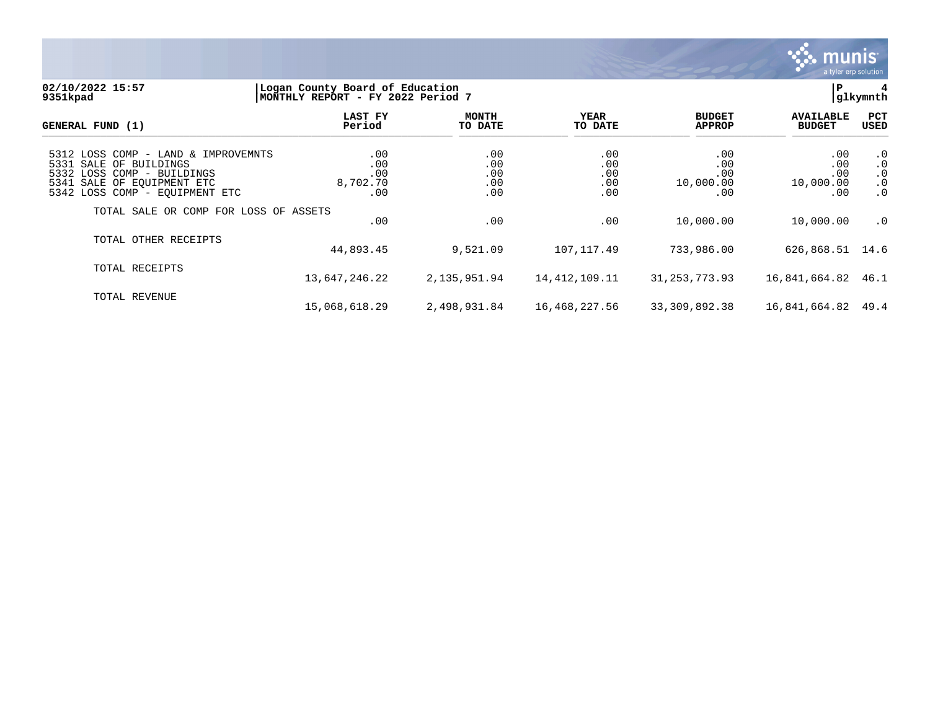

#### **02/10/2022 15:57 |Logan County Board of Education |P 4 9351kpad |MONTHLY REPORT - FY 2022 Period 7 |glkymnth**

| GENERAL FUND (1)                                                                                                                                            | LAST FY<br>Period                    | <b>MONTH</b><br>TO DATE         | YEAR<br>TO DATE                 | <b>BUDGET</b><br><b>APPROP</b>             | <b>AVAILABLE</b><br><b>BUDGET</b>     | PCT<br><b>USED</b>                                            |
|-------------------------------------------------------------------------------------------------------------------------------------------------------------|--------------------------------------|---------------------------------|---------------------------------|--------------------------------------------|---------------------------------------|---------------------------------------------------------------|
| 5312 LOSS COMP - LAND & IMPROVEMNTS<br>5331 SALE OF BUILDINGS<br>5332 LOSS COMP - BUILDINGS<br>5341 SALE OF EOUIPMENT ETC<br>5342 LOSS COMP - EQUIPMENT ETC | .00<br>.00<br>.00<br>8,702.70<br>.00 | .00<br>.00<br>.00<br>.00<br>.00 | .00<br>.00<br>.00<br>.00<br>.00 | .00<br>.00<br>.00<br>10,000.00<br>$.00 \,$ | .00<br>.00<br>.00<br>10,000.00<br>.00 | $\cdot$ 0<br>$\cdot$ 0<br>$\cdot$ 0<br>$\cdot$ 0<br>$\cdot$ 0 |
| TOTAL SALE OR COMP FOR LOSS OF ASSETS                                                                                                                       | .00                                  | .00                             | .00                             | 10,000.00                                  | 10,000.00                             | $\cdot$ 0                                                     |
| TOTAL OTHER RECEIPTS                                                                                                                                        | 44,893.45                            | 9,521.09                        | 107,117.49                      | 733,986.00                                 | 626,868.51 14.6                       |                                                               |
| TOTAL RECEIPTS                                                                                                                                              | 13,647,246.22                        | 2,135,951.94                    | 14, 412, 109. 11                | 31, 253, 773.93                            | 16,841,664.82 46.1                    |                                                               |
| TOTAL REVENUE                                                                                                                                               | 15,068,618.29                        | 2,498,931.84                    | 16,468,227.56                   | 33,309,892.38                              | 16,841,664.82 49.4                    |                                                               |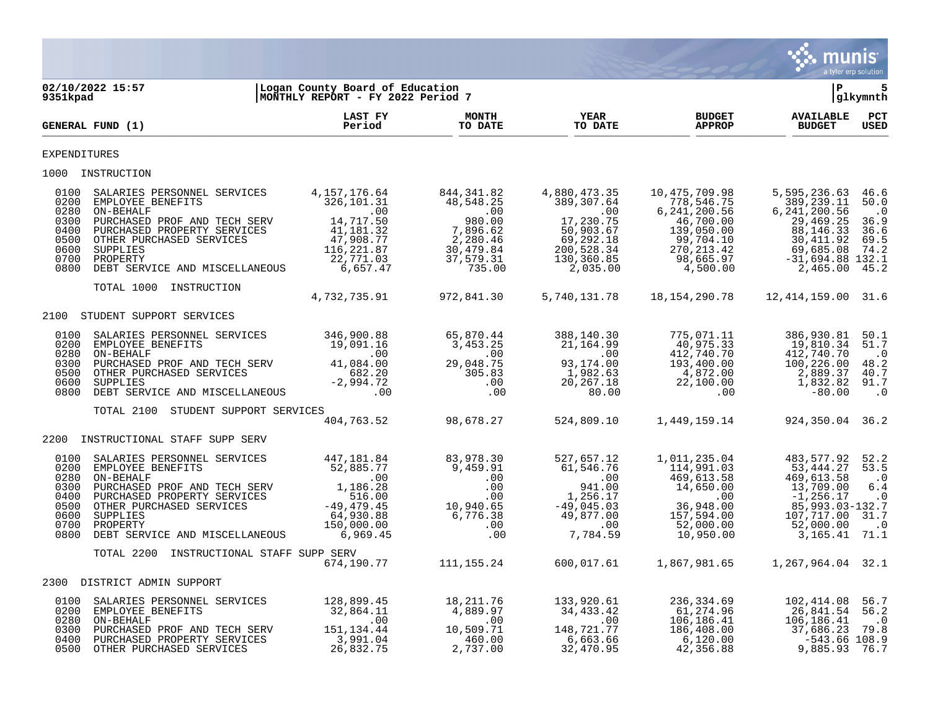

| 9351kpad                                                             | 02/10/2022 15:57                                                                                                                                                                                                                                                                                           | Logan County Board of Education<br>MONTHLY REPORT - FY 2022 Period 7 |                                                                                                   |                                                                                                                  |                                                                                                                                                                                                                                                                                          | l P                                                                                                                                                                                                        | 5<br> glkymnth                                              |
|----------------------------------------------------------------------|------------------------------------------------------------------------------------------------------------------------------------------------------------------------------------------------------------------------------------------------------------------------------------------------------------|----------------------------------------------------------------------|---------------------------------------------------------------------------------------------------|------------------------------------------------------------------------------------------------------------------|------------------------------------------------------------------------------------------------------------------------------------------------------------------------------------------------------------------------------------------------------------------------------------------|------------------------------------------------------------------------------------------------------------------------------------------------------------------------------------------------------------|-------------------------------------------------------------|
|                                                                      | GENERAL FUND (1)                                                                                                                                                                                                                                                                                           | LAST FY<br>Period                                                    | <b>MONTH</b><br>TO DATE                                                                           | <b>YEAR</b><br>TO DATE                                                                                           | <b>BUDGET</b><br><b>APPROP</b>                                                                                                                                                                                                                                                           | <b>AVAILABLE</b><br><b>BUDGET</b>                                                                                                                                                                          | PCT<br><b>USED</b>                                          |
| EXPENDITURES                                                         |                                                                                                                                                                                                                                                                                                            |                                                                      |                                                                                                   |                                                                                                                  |                                                                                                                                                                                                                                                                                          |                                                                                                                                                                                                            |                                                             |
|                                                                      | 1000 INSTRUCTION                                                                                                                                                                                                                                                                                           |                                                                      |                                                                                                   |                                                                                                                  |                                                                                                                                                                                                                                                                                          |                                                                                                                                                                                                            |                                                             |
| 0100<br>0200<br>0280<br>0300<br>0400<br>0500<br>0600<br>0700<br>0800 | SALARIES PERSONNEL SERVICES<br>EMPLOYEE BENEFITS<br>ON-BEHALF<br>PURCHASED PROF AND TECH SERV $14, 717.50$<br>PURCHASED PROPERTY SERVICES $41, 181.32$<br>OTHER PURCHASED SERVICES $47, 908.77$<br>SUPPLIES $156, 221.87$<br>PROPERTY $116, 221.87$<br>PROPERTY<br>DEBT SERVICE AND MISCELLANEOUS 6,657.47 | 4, 157, 176.64<br>326, 101.31<br>22,771.03                           | 844,341.82<br>48,548.25<br>$980.00$<br>7,896.62<br>$2,280.46$<br>30,479.84<br>37,579.31<br>735.00 | 4,880,473.35<br>389,307.64<br>.00<br>17,230.75<br>50,903.67<br>69,292.18<br>200,528.34<br>130,360.85<br>2,035.00 | 10,475,709.98<br>778, 546. 75<br>6, 241, 200.56<br>46,700.00<br>139,050.00<br>$99, 704.10$<br>$270, 213.42$<br>$98, 665.97$<br>$4, 500.00$                                                                                                                                               | 5,595,236.63 46.6<br>389,239.11<br>6, 241, 200.56<br>29,469.25<br>88,146.33<br>30,411.92<br>69,685.08<br>$-31,694.88$ 132.1<br>2,465.00                                                                    | 50.0<br>$\cdot$ 0<br>36.9<br>36.6<br>69.5<br>74.2<br>45.2   |
|                                                                      | TOTAL 1000 INSTRUCTION                                                                                                                                                                                                                                                                                     | 4,732,735.91                                                         | 972,841.30                                                                                        |                                                                                                                  | 5,740,131.78   18,154,290.78                                                                                                                                                                                                                                                             | 12,414,159.00 31.6                                                                                                                                                                                         |                                                             |
|                                                                      | 2100 STUDENT SUPPORT SERVICES                                                                                                                                                                                                                                                                              |                                                                      |                                                                                                   |                                                                                                                  |                                                                                                                                                                                                                                                                                          |                                                                                                                                                                                                            |                                                             |
| 0100<br>0200<br>0280<br>0300<br>0500<br>0600<br>0800                 | 0N-BEHALF<br>CON-BEHALF<br>DURCHASED PROF AND TECH SERV<br>OTHER PURCHASED SERVICES<br>SUPPLIES<br>DEBT SERVICE AND MISCELLANEOUS<br>TOTAL 2100 STUDENT SUPPORT SERVICES<br>TOTAL 2100 STUDENT SUPPORT SERVICES<br>TOTAL 2100 STUDENT SUPPORT                                                              |                                                                      |                                                                                                   |                                                                                                                  | $\begin{array}{cccc} 140.30 & & 775,071.11 & & 386,930.81 \\ 164.99 & & 40,975.33 & & 19,810.34 \\ .00 & & 412,740.70 & & 412,740.70 \\ 174.00 & & 193,400.00 & & 100,226.00 \\ 382.63 & & 4,872.00 & & 2,889.37 \\ 267.18 & & 22,100.00 & & 1,832.82 \\ 80.00 & & & 0 & & -80.00 \end{$ | 1,832.82 91.7                                                                                                                                                                                              | 50.1<br>51.7<br>$\cdot$ 0<br>48.2<br>40.7<br>$\cdot$ 0      |
|                                                                      |                                                                                                                                                                                                                                                                                                            |                                                                      |                                                                                                   |                                                                                                                  |                                                                                                                                                                                                                                                                                          |                                                                                                                                                                                                            |                                                             |
|                                                                      |                                                                                                                                                                                                                                                                                                            |                                                                      |                                                                                                   |                                                                                                                  | $\frac{1}{404}$ , 763.52 $\frac{98}{678.27}$ $\frac{524}{809.10}$ $\frac{1}{49}$ , 159.14                                                                                                                                                                                                | 924, 350.04 36.2                                                                                                                                                                                           |                                                             |
|                                                                      | 2200 INSTRUCTIONAL STAFF SUPP SERV                                                                                                                                                                                                                                                                         |                                                                      |                                                                                                   |                                                                                                                  |                                                                                                                                                                                                                                                                                          |                                                                                                                                                                                                            |                                                             |
| 0100<br>0200<br>0280<br>0300<br>0400<br>0500<br>0600<br>0700<br>0800 | SALARIES PERSONNEL SERVICES<br>EMPLOYEE BENEFITS<br>- AN ABOVE DENGITY<br>ON BEHALF PURCHASED PROF AND TECH SERV 1,186.28<br>PURCHASED PROPERTY SERVICES 516.00<br>OTHER PURCHASED SERVICES -49,479.45<br>SUPPLIES 64,930.88<br>PROPERTY 150,000.00<br>DEBT SERVICE AND MISCELLANEOUS 6,969.45             | 447,181.84<br>52,885.77                                              |                                                                                                   |                                                                                                                  | $\begin{array}{cccccc} 83,978.30 & 527,657.12 & 1,011,235.04 & 483,577.92 \\ 9,459.91 & 61,546.76 & 114,991.03 & 53,444.27 \\ .00 & .00 & 469,613.58 & 469,613.58 \\ .00 & 941.00 & 1,256.17 & .00 & 13,709.00 \\ .00 & 1,256.17 & .00 & -1,256.17 \\ 10,940.65 & -49,045.03 &$          | 53,444.27 53.5<br>85,993.03-132.7<br>107,717.00 31.7<br>3,165.41                                                                                                                                           | 52.2<br>$\cdot$ 0<br>6.4<br>$\cdot$ .0<br>$\cdot$ 0<br>71.1 |
|                                                                      | TOTAL 2200 INSTRUCTIONAL STAFF SUPP SERV                                                                                                                                                                                                                                                                   | 674,190.77                                                           |                                                                                                   |                                                                                                                  | $111, 155.24$ 600,017.61 1,867,981.65 1,267,964.04 32.1                                                                                                                                                                                                                                  |                                                                                                                                                                                                            |                                                             |
|                                                                      | 2300 DISTRICT ADMIN SUPPORT                                                                                                                                                                                                                                                                                |                                                                      |                                                                                                   |                                                                                                                  |                                                                                                                                                                                                                                                                                          |                                                                                                                                                                                                            |                                                             |
| 0100<br>0200<br>0280<br>0300<br>0400<br>0500                         | SALARIES PERSONNEL SERVICES 128,899.45<br>EMPLOYEE BENEFITS<br>ON-BEHALF<br>PURCHASED PROF AND TECH SERV 151,134.44<br>PURCHASED PROPERTY SERVICES<br>OTHER PURCHASED SERVICES                                                                                                                             | 32,864.11<br>$\sim$ 00<br>3,991.04<br>26,832.75                      | 18,211.76<br>4,889.97<br>$\sim$ 00<br>10,509.71<br>460.00<br>2,737.00                             | 133,920.61<br>133,920.61<br>34,433.42<br>.00<br>148,721.77<br>6,663.66<br>32,470.95                              | 236,334.69<br>61,274.96<br>42,356.88                                                                                                                                                                                                                                                     | 102,414.08<br>26,841.54 56.2<br>$\begin{array}{cccc} 61,274.96 & 26,841.54 \ 106,186.41 & 106,186.41 \ 18,408.00 & 37,686.42 \ 6,120.00 & -543.66 \ 42,356.88 & 9,885.93 \ \end{array}$<br>$-543.66$ 108.9 | 56.7<br>$\cdot$ 0<br>79.8<br>76.7                           |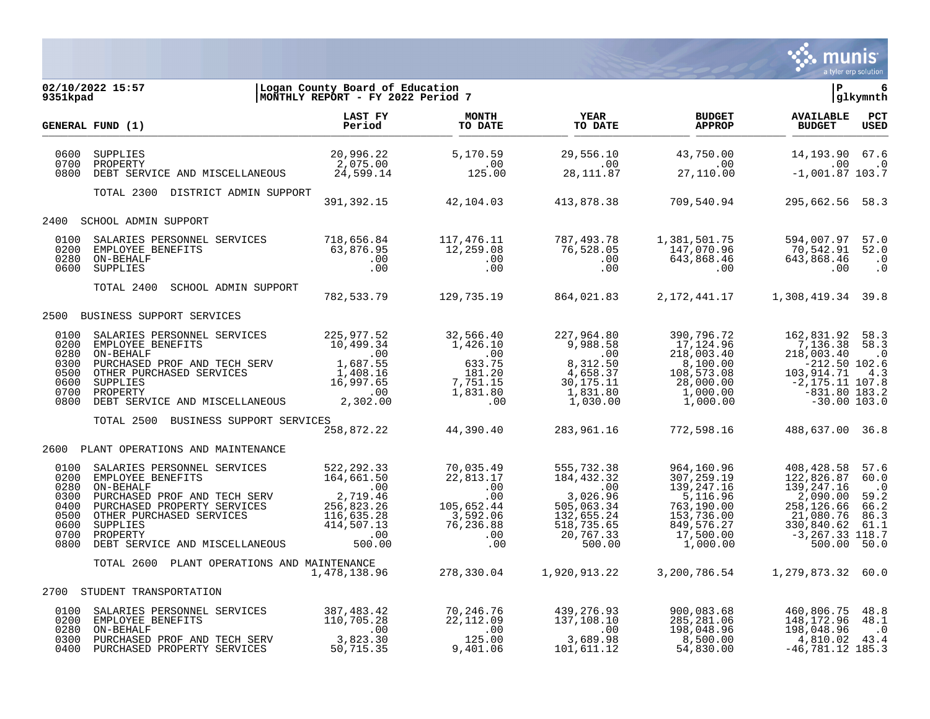

| 9351kpad                     | 02/10/2022 15:57<br>5:57 [Logan County Board of Education<br>MONTHLY REPORT - FY 2022 Period 7                                                                                                                                                                                                                                           |  |                                                                                   |                                   | 6<br>glkymnth        |
|------------------------------|------------------------------------------------------------------------------------------------------------------------------------------------------------------------------------------------------------------------------------------------------------------------------------------------------------------------------------------|--|-----------------------------------------------------------------------------------|-----------------------------------|----------------------|
|                              | GENERAL FUND (1)                                                                                                                                                                                                                                                                                                                         |  | <b>BUDGET</b><br><b>APPROP</b>                                                    | <b>AVAILABLE</b><br><b>BUDGET</b> | $_{\rm PCT}$<br>USED |
| 0600<br>0700<br>0800         |                                                                                                                                                                                                                                                                                                                                          |  |                                                                                   |                                   |                      |
|                              | TOTAL 2300 DISTRICT ADMIN SUPPORT                                                                                                                                                                                                                                                                                                        |  | 391,392.15 42,104.03 413,878.38 709,540.94                                        | 295,662.56 58.3                   |                      |
|                              | 2400 SCHOOL ADMIN SUPPORT                                                                                                                                                                                                                                                                                                                |  |                                                                                   |                                   |                      |
| 0100<br>0200<br>0280<br>0600 | SUPPLIES                                                                                                                                                                                                                                                                                                                                 |  |                                                                                   |                                   |                      |
|                              | TOTAL 2400<br>SCHOOL ADMIN SUPPORT 782,533.79 129,735.19 864,021.83 2,172,441.17 1,308,419.34 39.8                                                                                                                                                                                                                                       |  |                                                                                   |                                   |                      |
|                              | 2500 BUSINESS SUPPORT SERVICES                                                                                                                                                                                                                                                                                                           |  |                                                                                   |                                   |                      |
|                              | $\begin{array}{cccccccc} 0100 & \texttt{SALARIES } \texttt{PERSONNEL} & \texttt{SERVICES} & 225,977.52 & 32,566.40 & 227,964.80 & 390,796.72 & 162,831.92 & 58.3 \\ 0200 & \texttt{EMPLOYEE } \texttt{BENEFTTS} & 10,499.34 & 1,426.10 & 9,988.58 & 17,124.96 & 7,136.38 & 58.3 \\ 0300 & \texttt{PUEICME} & \texttt{PROF AND TECH SERV$ |  |                                                                                   |                                   |                      |
|                              | TOTAL 2500 BUSINESS SUPPORT SERVICES                                                                                                                                                                                                                                                                                                     |  | ىيى<br>258,872.22     44,390.40     283,961.16     772,598.16     488,637.00 36.8 |                                   |                      |
|                              |                                                                                                                                                                                                                                                                                                                                          |  |                                                                                   |                                   |                      |
|                              | 2600 PLANT OPERATIONS AND MAINTENANCE                                                                                                                                                                                                                                                                                                    |  |                                                                                   |                                   |                      |
|                              | TOTAL 2600 PLANT OPERATIONS AND MAINTENANCE                                                                                                                                                                                                                                                                                              |  |                                                                                   |                                   |                      |
|                              | 2700 STUDENT TRANSPORTATION                                                                                                                                                                                                                                                                                                              |  |                                                                                   |                                   |                      |
|                              | 0100 SALARIES PERSONNEL SERVICES (10,705.28 110,705.28 110,705.28 22,112.09 137,108.10 200 200,083.68 460,806.75 48.8<br>0280 ON-BEHALF (10,705.28 112.09 137,108.10 285,281.06 148,172.96 48.1<br>0280 ON-BEHALF (00 .00 .00 .00 .0                                                                                                     |  |                                                                                   |                                   |                      |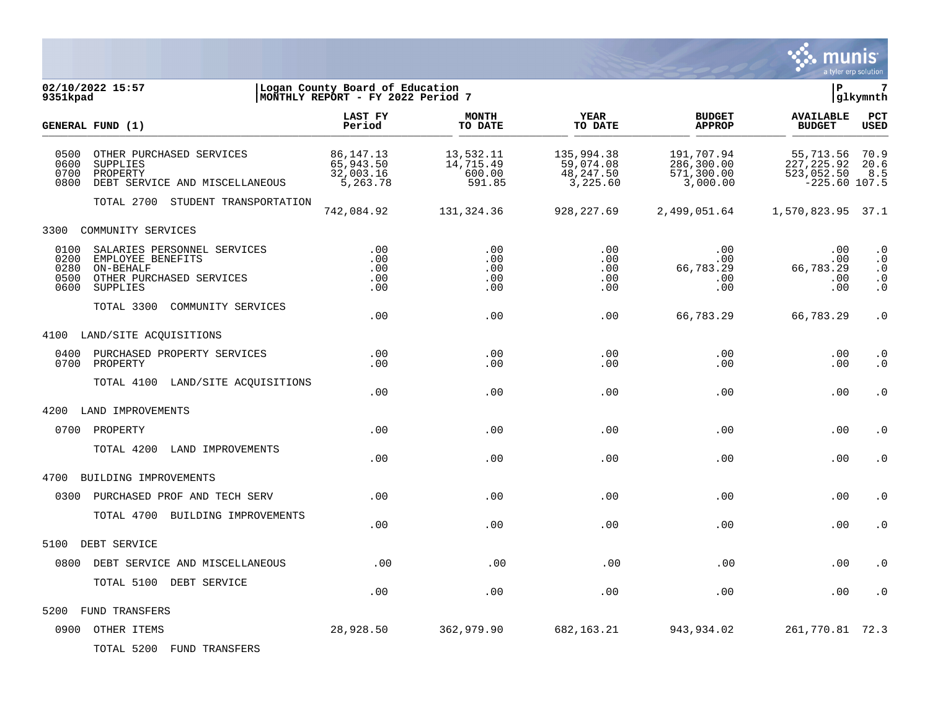

| 9351kpad                             | 02/10/2022 15:57                                                                                      | Logan County Board of Education<br>MONTHLY REPORT - FY 2022 Period 7 |                                            |                                                  |                                                    | lР                                                        | 7<br> glkymnth                                                |
|--------------------------------------|-------------------------------------------------------------------------------------------------------|----------------------------------------------------------------------|--------------------------------------------|--------------------------------------------------|----------------------------------------------------|-----------------------------------------------------------|---------------------------------------------------------------|
|                                      | GENERAL FUND (1)                                                                                      | LAST FY<br>Period                                                    | <b>MONTH</b><br>TO DATE                    | <b>YEAR</b><br>TO DATE                           | <b>BUDGET</b><br><b>APPROP</b>                     | <b>AVAILABLE</b><br><b>BUDGET</b>                         | PCT<br><b>USED</b>                                            |
| 0500<br>0600<br>0700<br>0800         | OTHER PURCHASED SERVICES<br><b>SUPPLIES</b><br>PROPERTY<br>DEBT SERVICE AND MISCELLANEOUS             | 86, 147. 13<br>65,943.50<br>32,003.16<br>5,263.78                    | 13,532.11<br>14,715.49<br>600.00<br>591.85 | 135,994.38<br>59,074.08<br>48,247.50<br>3,225.60 | 191,707.94<br>286,300.00<br>571,300.00<br>3,000.00 | 55,713.56<br>227, 225.92<br>523,052.50<br>$-225.60$ 107.5 | 70.9<br>20.6<br>8.5                                           |
|                                      | TOTAL 2700 STUDENT TRANSPORTATION                                                                     | 742,084.92                                                           | 131,324.36                                 | 928, 227.69                                      | 2,499,051.64                                       | 1,570,823.95 37.1                                         |                                                               |
| 3300                                 | COMMUNITY SERVICES                                                                                    |                                                                      |                                            |                                                  |                                                    |                                                           |                                                               |
| 0100<br>0200<br>0280<br>0500<br>0600 | SALARIES PERSONNEL SERVICES<br>EMPLOYEE BENEFITS<br>ON-BEHALF<br>OTHER PURCHASED SERVICES<br>SUPPLIES | .00<br>.00<br>.00<br>.00<br>.00                                      | .00<br>.00<br>.00<br>.00<br>.00            | .00<br>.00<br>.00<br>.00<br>.00                  | .00<br>$.00 \,$<br>66,783.29<br>.00<br>.00         | .00<br>.00<br>66,783.29<br>.00<br>.00                     | $\cdot$ 0<br>$\cdot$ 0<br>$\cdot$ 0<br>$\cdot$ 0<br>$\cdot$ 0 |
|                                      | TOTAL 3300<br>COMMUNITY SERVICES                                                                      | .00                                                                  | .00                                        | .00                                              | 66,783.29                                          | 66,783.29                                                 | $\cdot$ 0                                                     |
| 4100                                 | LAND/SITE ACQUISITIONS                                                                                |                                                                      |                                            |                                                  |                                                    |                                                           |                                                               |
| 0400<br>0700                         | PURCHASED PROPERTY SERVICES<br>PROPERTY                                                               | .00<br>.00                                                           | .00<br>.00                                 | .00<br>.00                                       | .00<br>.00                                         | .00<br>.00                                                | . $\boldsymbol{0}$<br>$\cdot$ 0                               |
|                                      | TOTAL 4100 LAND/SITE ACQUISITIONS                                                                     | .00                                                                  | .00                                        | .00                                              | .00                                                | .00                                                       | . 0                                                           |
| 4200                                 | LAND IMPROVEMENTS                                                                                     |                                                                      |                                            |                                                  |                                                    |                                                           |                                                               |
| 0700                                 | PROPERTY                                                                                              | .00                                                                  | .00                                        | .00                                              | .00                                                | .00                                                       | $\cdot$ 0                                                     |
|                                      | TOTAL 4200<br>LAND IMPROVEMENTS                                                                       | .00                                                                  | .00                                        | .00                                              | .00                                                | .00                                                       | $\cdot$ 0                                                     |
| 4700                                 | BUILDING IMPROVEMENTS                                                                                 |                                                                      |                                            |                                                  |                                                    |                                                           |                                                               |
| 0300                                 | PURCHASED PROF AND TECH SERV                                                                          | .00                                                                  | .00                                        | .00                                              | .00                                                | .00                                                       | $\cdot$ 0                                                     |
|                                      | TOTAL 4700 BUILDING IMPROVEMENTS                                                                      | .00                                                                  | .00                                        | .00                                              | .00                                                | .00                                                       | $\cdot$ 0                                                     |
| 5100                                 | DEBT SERVICE                                                                                          |                                                                      |                                            |                                                  |                                                    |                                                           |                                                               |
| 0800                                 | DEBT SERVICE AND MISCELLANEOUS                                                                        | .00                                                                  | .00                                        | .00                                              | .00                                                | .00                                                       | $\cdot$ 0                                                     |
|                                      | TOTAL 5100 DEBT SERVICE                                                                               | .00                                                                  | .00                                        | .00                                              | .00                                                | .00                                                       | $\cdot$ 0                                                     |
| 5200                                 | <b>FUND TRANSFERS</b>                                                                                 |                                                                      |                                            |                                                  |                                                    |                                                           |                                                               |
|                                      | 0900 OTHER ITEMS                                                                                      | 28,928.50                                                            | 362,979.90                                 | 682, 163. 21                                     | 943,934.02                                         | 261,770.81 72.3                                           |                                                               |

TOTAL 5200 FUND TRANSFERS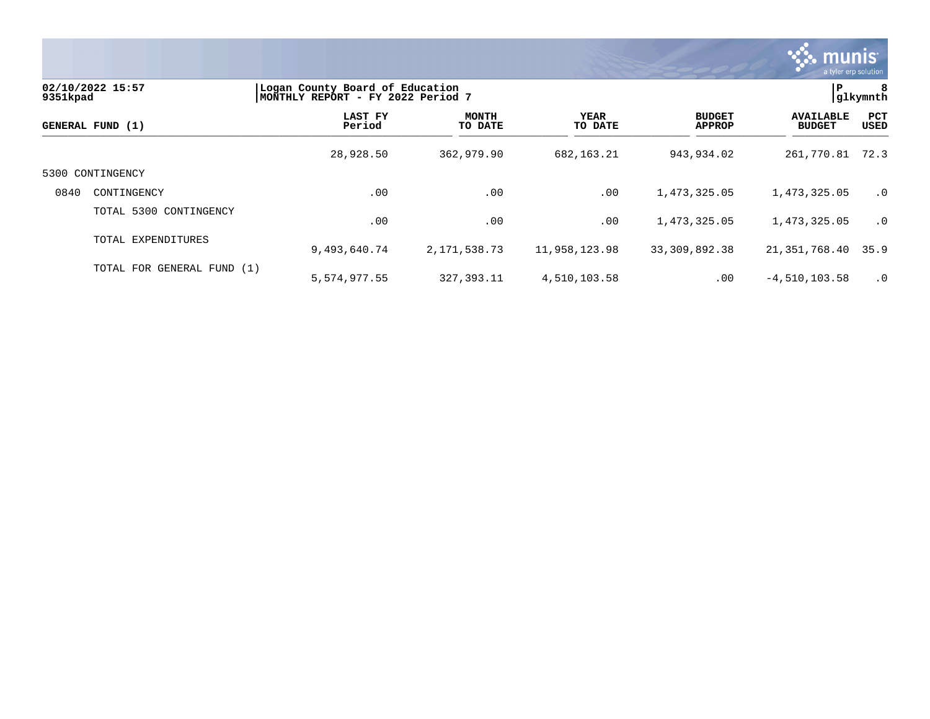

| 02/10/2022 15:57<br>9351kpad<br>GENERAL FUND (1) |                            | Logan County Board of Education<br>MONTHLY REPORT - FY 2022 Period 7 | P                       | 8<br> glkymnth         |                                |                                   |             |
|--------------------------------------------------|----------------------------|----------------------------------------------------------------------|-------------------------|------------------------|--------------------------------|-----------------------------------|-------------|
|                                                  |                            | LAST FY<br>Period                                                    | <b>MONTH</b><br>TO DATE | <b>YEAR</b><br>TO DATE | <b>BUDGET</b><br><b>APPROP</b> | <b>AVAILABLE</b><br><b>BUDGET</b> | PCT<br>USED |
|                                                  |                            | 28,928.50                                                            | 362,979.90              | 682, 163. 21           | 943,934.02                     | 261,770.81                        | 72.3        |
| 5300                                             | CONTINGENCY                |                                                                      |                         |                        |                                |                                   |             |
| 0840                                             | CONTINGENCY                | .00                                                                  | .00                     | .00                    | 1,473,325.05                   | 1,473,325.05                      | $\cdot$ 0   |
|                                                  | TOTAL 5300 CONTINGENCY     | .00                                                                  | .00                     | .00                    | 1,473,325.05                   | 1,473,325.05                      | $\cdot$ 0   |
|                                                  | TOTAL EXPENDITURES         | 9,493,640.74                                                         | 2,171,538.73            | 11,958,123.98          | 33, 309, 892. 38               | 21,351,768.40                     | 35.9        |
|                                                  | TOTAL FOR GENERAL FUND (1) | 5,574,977.55                                                         | 327, 393. 11            | 4,510,103.58           | .00                            | $-4,510,103.58$                   | $\cdot$ 0   |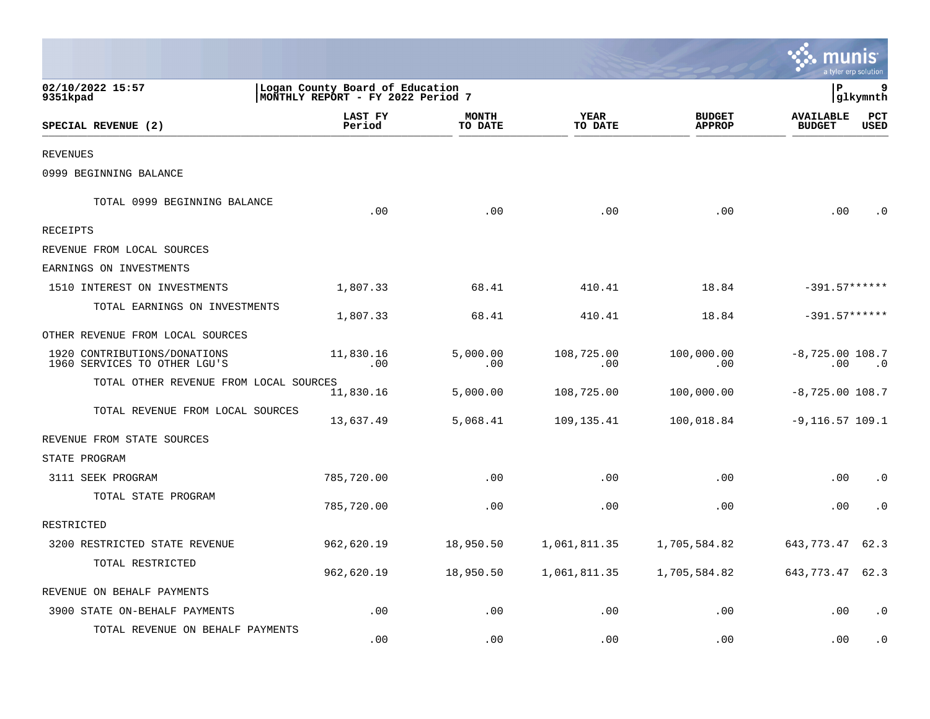|                                                              |                                                                      |                         |                        |                                | munis                             | a tyler erp solution |
|--------------------------------------------------------------|----------------------------------------------------------------------|-------------------------|------------------------|--------------------------------|-----------------------------------|----------------------|
| 02/10/2022 15:57<br>9351kpad                                 | Logan County Board of Education<br>MONTHLY REPORT - FY 2022 Period 7 |                         |                        |                                | lР                                | q<br> glkymnth       |
| SPECIAL REVENUE (2)                                          | LAST FY<br>Period                                                    | <b>MONTH</b><br>TO DATE | <b>YEAR</b><br>TO DATE | <b>BUDGET</b><br><b>APPROP</b> | <b>AVAILABLE</b><br><b>BUDGET</b> | PCT<br><b>USED</b>   |
| <b>REVENUES</b>                                              |                                                                      |                         |                        |                                |                                   |                      |
| 0999 BEGINNING BALANCE                                       |                                                                      |                         |                        |                                |                                   |                      |
| TOTAL 0999 BEGINNING BALANCE                                 | .00                                                                  | .00                     | .00                    | .00                            | .00                               | . ດ                  |
| <b>RECEIPTS</b>                                              |                                                                      |                         |                        |                                |                                   |                      |
| REVENUE FROM LOCAL SOURCES                                   |                                                                      |                         |                        |                                |                                   |                      |
| EARNINGS ON INVESTMENTS                                      |                                                                      |                         |                        |                                |                                   |                      |
| 1510 INTEREST ON INVESTMENTS                                 | 1,807.33                                                             | 68.41                   | 410.41                 | 18.84                          | $-391.57******$                   |                      |
| TOTAL EARNINGS ON INVESTMENTS                                | 1,807.33                                                             | 68.41                   | 410.41                 | 18.84                          | $-391.57******$                   |                      |
| OTHER REVENUE FROM LOCAL SOURCES                             |                                                                      |                         |                        |                                |                                   |                      |
| 1920 CONTRIBUTIONS/DONATIONS<br>1960 SERVICES TO OTHER LGU'S | 11,830.16<br>.00                                                     | 5,000.00<br>.00         | 108,725.00<br>.00      | 100,000.00<br>.00              | $-8,725.00$ 108.7<br>.00          | $\cdot$ 0            |
| TOTAL OTHER REVENUE FROM LOCAL SOURCES                       | 11,830.16                                                            | 5,000.00                | 108,725.00             | 100,000.00                     | $-8,725.00$ 108.7                 |                      |
| TOTAL REVENUE FROM LOCAL SOURCES                             | 13,637.49                                                            | 5,068.41                | 109,135.41             | 100,018.84                     | $-9,116.57$ 109.1                 |                      |
| REVENUE FROM STATE SOURCES                                   |                                                                      |                         |                        |                                |                                   |                      |
| STATE PROGRAM                                                |                                                                      |                         |                        |                                |                                   |                      |
| 3111 SEEK PROGRAM                                            | 785,720.00                                                           | .00                     | .00                    | .00                            | .00                               | $\cdot$ 0            |
| TOTAL STATE PROGRAM                                          | 785,720.00                                                           | .00                     | .00                    | .00                            | .00                               | . 0                  |
| RESTRICTED                                                   |                                                                      |                         |                        |                                |                                   |                      |
| 3200 RESTRICTED STATE REVENUE                                | 962,620.19                                                           | 18,950.50               | 1,061,811.35           | 1,705,584.82                   | 643,773.47                        | 62.3                 |
| TOTAL RESTRICTED                                             | 962,620.19                                                           | 18,950.50               | 1,061,811.35           | 1,705,584.82                   | 643,773.47                        | 62.3                 |
| REVENUE ON BEHALF PAYMENTS                                   |                                                                      |                         |                        |                                |                                   |                      |
| 3900 STATE ON-BEHALF PAYMENTS                                | .00                                                                  | .00                     | .00                    | .00                            | .00                               | . 0                  |
| TOTAL REVENUE ON BEHALF PAYMENTS                             | .00                                                                  | .00                     | .00                    | .00                            | .00                               | . 0                  |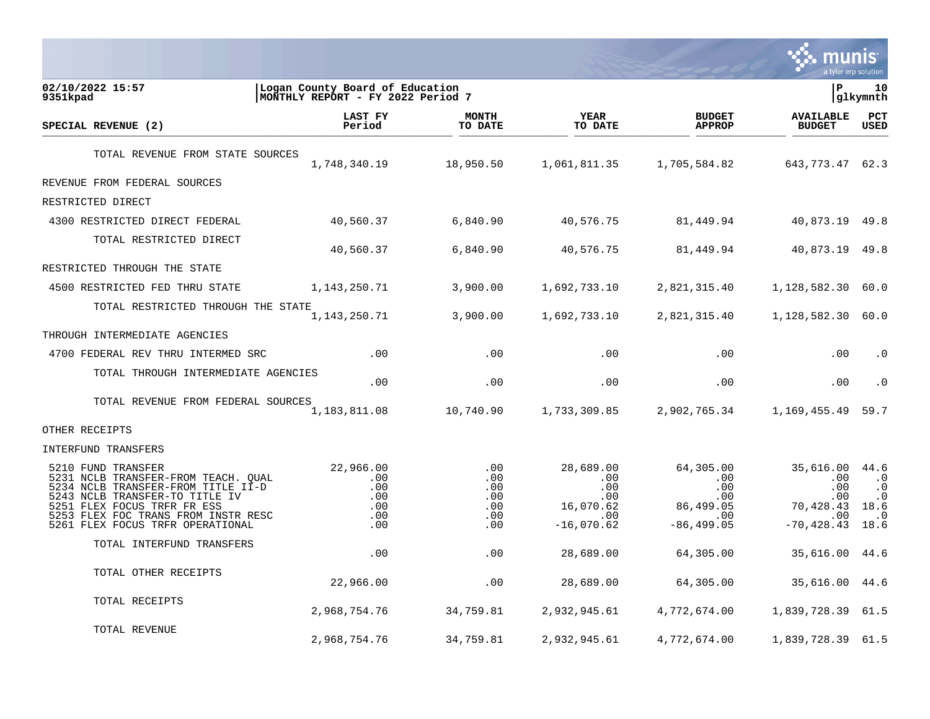

| 02/10/2022 15:57<br>9351kpad                                                                                                                                                                                                                | Logan County Board of Education<br> MONTHLY REPORT - FY 2022 Period 7 |                                               |                                                                     |                                                                     | l P                                                                 | 10<br> glkymnth                                                    |
|---------------------------------------------------------------------------------------------------------------------------------------------------------------------------------------------------------------------------------------------|-----------------------------------------------------------------------|-----------------------------------------------|---------------------------------------------------------------------|---------------------------------------------------------------------|---------------------------------------------------------------------|--------------------------------------------------------------------|
| SPECIAL REVENUE (2)                                                                                                                                                                                                                         | LAST FY<br>Period                                                     | <b>MONTH</b><br>TO DATE                       | <b>YEAR</b><br>TO DATE                                              | <b>BUDGET</b><br><b>APPROP</b>                                      | <b>AVAILABLE</b><br><b>BUDGET</b>                                   | PCT<br><b>USED</b>                                                 |
| TOTAL REVENUE FROM STATE SOURCES                                                                                                                                                                                                            | 1,748,340.19                                                          | 18,950.50                                     | 1,061,811.35                                                        | 1,705,584.82                                                        | 643,773.47                                                          | 62.3                                                               |
| REVENUE FROM FEDERAL SOURCES                                                                                                                                                                                                                |                                                                       |                                               |                                                                     |                                                                     |                                                                     |                                                                    |
| RESTRICTED DIRECT                                                                                                                                                                                                                           |                                                                       |                                               |                                                                     |                                                                     |                                                                     |                                                                    |
| 4300 RESTRICTED DIRECT FEDERAL                                                                                                                                                                                                              | 40,560.37                                                             | 6,840.90                                      | 40,576.75                                                           | 81,449.94                                                           | 40,873.19                                                           | 49.8                                                               |
| TOTAL RESTRICTED DIRECT                                                                                                                                                                                                                     | 40,560.37                                                             | 6,840.90                                      | 40,576.75                                                           | 81,449.94                                                           | 40,873.19                                                           | 49.8                                                               |
| RESTRICTED THROUGH THE STATE                                                                                                                                                                                                                |                                                                       |                                               |                                                                     |                                                                     |                                                                     |                                                                    |
| 4500 RESTRICTED FED THRU STATE                                                                                                                                                                                                              | 1,143,250.71                                                          | 3,900.00                                      | 1,692,733.10                                                        | 2,821,315.40                                                        | 1,128,582.30                                                        | 60.0                                                               |
| TOTAL RESTRICTED THROUGH THE STATE                                                                                                                                                                                                          | 1,143,250.71                                                          | 3,900.00                                      | 1,692,733.10                                                        | 2,821,315.40                                                        | 1,128,582.30                                                        | 60.0                                                               |
| THROUGH INTERMEDIATE AGENCIES                                                                                                                                                                                                               |                                                                       |                                               |                                                                     |                                                                     |                                                                     |                                                                    |
| 4700 FEDERAL REV THRU INTERMED SRC                                                                                                                                                                                                          | $.00 \,$                                                              | .00                                           | .00                                                                 | .00                                                                 | .00                                                                 | $\cdot$ 0                                                          |
| TOTAL THROUGH INTERMEDIATE AGENCIES                                                                                                                                                                                                         | .00                                                                   | .00                                           | .00                                                                 | .00                                                                 | .00                                                                 | $\cdot$ 0                                                          |
| TOTAL REVENUE FROM FEDERAL SOURCES                                                                                                                                                                                                          | 1,183,811.08                                                          | 10,740.90                                     | 1,733,309.85                                                        | 2,902,765.34                                                        | 1,169,455.49                                                        | 59.7                                                               |
| OTHER RECEIPTS                                                                                                                                                                                                                              |                                                                       |                                               |                                                                     |                                                                     |                                                                     |                                                                    |
| INTERFUND TRANSFERS                                                                                                                                                                                                                         |                                                                       |                                               |                                                                     |                                                                     |                                                                     |                                                                    |
| 5210 FUND TRANSFER<br>5231 NCLB TRANSFER-FROM TEACH. QUAL<br>5234 NCLB TRANSFER-FROM TITLE II-D<br>5243 NCLB TRANSFER-TO TITLE IV<br>5251 FLEX FOCUS TRFR FR ESS<br>5253 FLEX FOC TRANS FROM INSTR RESC<br>5261 FLEX FOCUS TRFR OPERATIONAL | 22,966.00<br>.00<br>.00<br>.00<br>.00<br>.00<br>.00                   | .00<br>.00<br>.00<br>.00<br>.00<br>.00<br>.00 | 28,689.00<br>.00<br>.00<br>.00.<br>16,070.62<br>.00<br>$-16,070.62$ | 64,305.00<br>.00<br>.00<br>.00<br>86,499.05<br>.00<br>$-86, 499.05$ | 35,616.00<br>.00<br>.00<br>.00<br>70,428.43<br>.00<br>$-70, 428.43$ | 44.6<br>$\cdot$ 0<br>$\cdot$ 0<br>$\cdot$ 0<br>18.6<br>. 0<br>18.6 |
| TOTAL INTERFUND TRANSFERS                                                                                                                                                                                                                   | .00                                                                   | .00                                           | 28,689.00                                                           | 64,305.00                                                           | 35,616.00                                                           | 44.6                                                               |
| TOTAL OTHER RECEIPTS                                                                                                                                                                                                                        | 22,966.00                                                             | .00                                           | 28,689.00                                                           | 64,305.00                                                           | 35,616.00                                                           | 44.6                                                               |
| TOTAL RECEIPTS                                                                                                                                                                                                                              | 2,968,754.76                                                          | 34,759.81                                     | 2,932,945.61                                                        | 4,772,674.00                                                        | 1,839,728.39                                                        | 61.5                                                               |
| TOTAL REVENUE                                                                                                                                                                                                                               | 2,968,754.76                                                          | 34,759.81                                     | 2,932,945.61                                                        | 4,772,674.00                                                        | 1,839,728.39 61.5                                                   |                                                                    |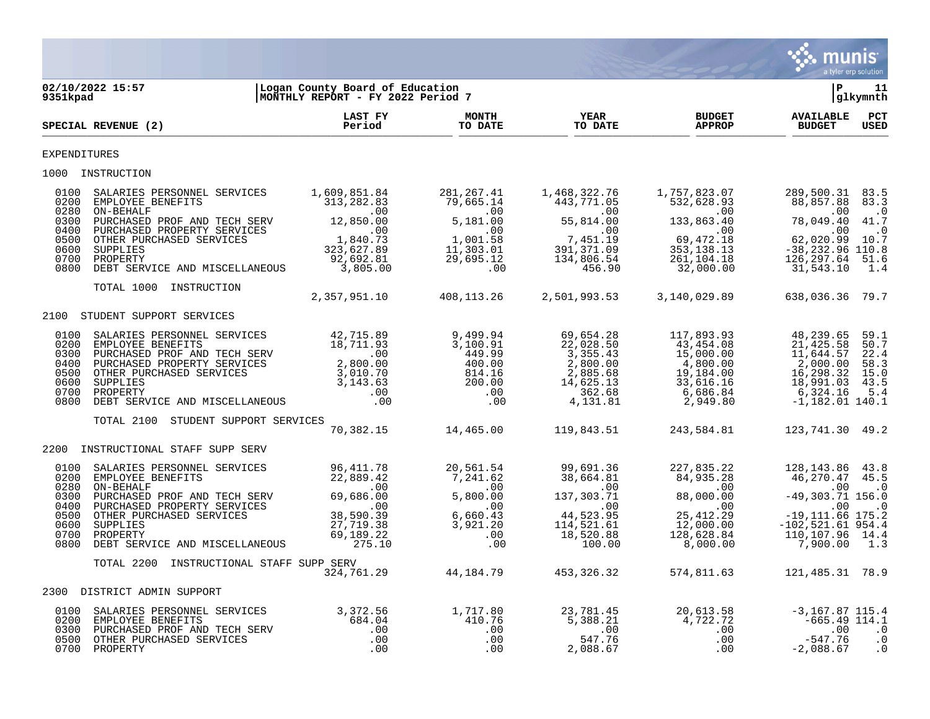

| 9351kpad                                                             | 02/10/2022 15:57                                                                                                                                                                                                                                                                                                                                                                                                                                                                                        | Logan County Board of Education<br>MONTHLY REPORT - FY 2022 Period 7                                           |                                                                                                                    |                                                                                               |                                                                                                                               | P                                                                                                                                                           | 11<br>glkymnth                                          |
|----------------------------------------------------------------------|---------------------------------------------------------------------------------------------------------------------------------------------------------------------------------------------------------------------------------------------------------------------------------------------------------------------------------------------------------------------------------------------------------------------------------------------------------------------------------------------------------|----------------------------------------------------------------------------------------------------------------|--------------------------------------------------------------------------------------------------------------------|-----------------------------------------------------------------------------------------------|-------------------------------------------------------------------------------------------------------------------------------|-------------------------------------------------------------------------------------------------------------------------------------------------------------|---------------------------------------------------------|
|                                                                      | SPECIAL REVENUE (2)                                                                                                                                                                                                                                                                                                                                                                                                                                                                                     | LAST FY<br>Period                                                                                              | <b>MONTH</b><br>TO DATE                                                                                            | <b>YEAR</b><br>TO DATE                                                                        | <b>BUDGET</b><br><b>APPROP</b>                                                                                                | <b>AVAILABLE</b><br><b>BUDGET</b>                                                                                                                           | PCT<br><b>USED</b>                                      |
| <b>EXPENDITURES</b>                                                  |                                                                                                                                                                                                                                                                                                                                                                                                                                                                                                         |                                                                                                                |                                                                                                                    |                                                                                               |                                                                                                                               |                                                                                                                                                             |                                                         |
|                                                                      | 1000 INSTRUCTION                                                                                                                                                                                                                                                                                                                                                                                                                                                                                        |                                                                                                                |                                                                                                                    |                                                                                               |                                                                                                                               |                                                                                                                                                             |                                                         |
| 0100<br>0200<br>0280<br>0300<br>0400<br>0500<br>0600                 | SALARIES PERSONNEL SERVICES 1,609,851.84<br>EMPLOYEE BENEFITS<br>PURCHASED PROF AND TECH SERV 12,850.00<br>PURCHASED PROPERTY SERVICES 12,850.00<br>OTHER PURCHASED SERVICES 1,840.73<br>SUPPLIES 323,627.89<br>PROPERTY 323,627.89                                                                                                                                                                                                                                                                     | 313, 282.83                                                                                                    | 281,267.41<br>79,665.14<br>5.191<br>.00<br>1,001.58<br>11,303.01                                                   | 1,468,322.76<br>$443,771.05$<br>0.0<br>55,814.00<br>.00<br>7,451.19<br>391, 371.09            | 1,757,823.07<br>532,628.93<br>$\sim 00$<br>133,863.40<br>.00<br>69,472.18                                                     | 289,500.31 83.5<br>88,857.88<br>.00<br>78,049.40 41.7<br>$\sim$ 00<br>62,020.99 10.7<br>$-38, 232.96$ 110.8                                                 | 83.3<br>$\cdot$ 0<br>$\cdot$ 0                          |
| 0700<br>0800                                                         | PROPERTY<br>DEBT SERVICE AND MISCELLANEOUS                                                                                                                                                                                                                                                                                                                                                                                                                                                              | 92,692.81<br>3,805.00                                                                                          | 29,695.12<br>$\overline{00}$                                                                                       | 134,806.54<br>456.90                                                                          | 353, 138.13<br>261, 104.18<br>32,000.00                                                                                       | 126,297.64<br>31,543.10                                                                                                                                     | 51.6<br>1.4                                             |
|                                                                      | INSTRUCTION<br>TOTAL 1000                                                                                                                                                                                                                                                                                                                                                                                                                                                                               | 2,357,951.10                                                                                                   | 408,113.26                                                                                                         | 2,501,993.53                                                                                  | 3,140,029.89                                                                                                                  | 638,036.36 79.7                                                                                                                                             |                                                         |
|                                                                      | 2100 STUDENT SUPPORT SERVICES                                                                                                                                                                                                                                                                                                                                                                                                                                                                           |                                                                                                                |                                                                                                                    |                                                                                               |                                                                                                                               |                                                                                                                                                             |                                                         |
| 0100<br>0200<br>0300<br>0400<br>0500<br>0600<br>0700<br>0800         | $\begin{tabular}{llllllll} \multicolumn{4}{c}{EMPLOYEE} \multicolumn{4}{c}{EKOUNNEL} \multicolumn{4}{c}{SERVICES} & & & & 42,715.89 \\ \multicolumn{4}{c}{PURCHASED} \multicolumn{4}{c}{PROPENCF} \multicolumn{4}{c}{AND} \multicolumn{4}{c}{TECH} \multicolumn{4}{c}{SERV} & & & 18,711.93 \\ \multicolumn{4}{c}{PURCHASED} \multicolumn{4}{c}{PROPERTY} \multicolumn{4}{c}{SERVICES} & & 2,800.00 \\ \multicolumn{4}{c}{OTHER} \multicolumn{4$<br>FROEBELY 1.00<br>DEBT SERVICE AND MISCELLANEOUS .00 |                                                                                                                | 9,499.94<br>3,100.91<br>449.99<br>$400.00$<br>814.16<br>200.00<br>.00<br>.00                                       | 69,654.28<br>22,028.50<br>3,355.43<br>2,800.00<br>2,885.68<br>14,625.13<br>362.68<br>4,131.81 | 117,893.93<br>43,454.08<br>15,000.00<br>4,800.00<br>19,184.00<br>33,616.16<br>6,686.84<br>2,949.80                            | 48,239.65<br>21,425.58<br>11,644.57<br>2,000.00<br>16,298.32<br>18,991.03<br>6,324.16<br>$-1,182.01$ 140.1                                                  | 59.1<br>50.7<br>22.4<br>58.3<br>15.0<br>43.5<br>5.4     |
|                                                                      | TOTAL 2100<br>STUDENT SUPPORT SERVICES                                                                                                                                                                                                                                                                                                                                                                                                                                                                  |                                                                                                                | 70,382.15 14,465.00                                                                                                | 119,843.51                                                                                    | 243,584.81                                                                                                                    | 123, 741.30 49.2                                                                                                                                            |                                                         |
| 2200                                                                 | INSTRUCTIONAL STAFF SUPP SERV                                                                                                                                                                                                                                                                                                                                                                                                                                                                           |                                                                                                                |                                                                                                                    |                                                                                               |                                                                                                                               |                                                                                                                                                             |                                                         |
| 0100<br>0200<br>0280<br>0300<br>0400<br>0500<br>0600<br>0700<br>0800 | SALARIES PERSONNEL SERVICES<br>EMPLOYEE BENEFITS<br>ON-BEHALF<br>PURCHASED PROF AND TECH SERV<br>PURCHASED PROPERTY SERVICES<br>OTHER PURCHASED SERVICES<br>SUPPLIES<br>PROPERTY<br>DEBT SERVICE AND MISCELLANEOUS                                                                                                                                                                                                                                                                                      | 96, 411.78<br>22, 889.42<br>.00<br>69, 686.00<br>38, 590.39<br>37. 710.39<br>27,719.38<br>69, 189.22<br>275.10 | 20,561.54<br>$7,241.62$ $38,664.81$<br>$5,800.00$ $137,303.71$<br>$\sim$ 00<br>00<br>6,660.43<br>3,921.20<br>00.00 | 99,691.36<br>$(137, 303.71)$<br>100<br>44,523.95<br>114,521<br>100.00                         | 227,835.22<br>84,935.28<br>$\overline{00}$<br>88,000.00<br>$\ddotsc{00}$<br>25, 412.29<br>12,000.00<br>128,628.84<br>8,000.00 | 128,143.86<br>46,270.47 45.5<br>$\sim$ 00<br>$-49,303.71$ 156.0<br>$\sim$ 00<br>$-19, 111.66$ 175.2<br>$-102, 521.61$ 954.4<br>110, 107.96 14.4<br>7,900.00 | 43.8<br>$\cdot$ 0<br>$\overline{\phantom{0}}$ .0<br>1.3 |
|                                                                      | TOTAL 2200<br>INSTRUCTIONAL STAFF SUPP SERV                                                                                                                                                                                                                                                                                                                                                                                                                                                             |                                                                                                                | 324,761.29 44,184.79 453,326.32                                                                                    |                                                                                               | 574,811.63                                                                                                                    | 121,485.31 78.9                                                                                                                                             |                                                         |
|                                                                      | 2300 DISTRICT ADMIN SUPPORT                                                                                                                                                                                                                                                                                                                                                                                                                                                                             |                                                                                                                |                                                                                                                    |                                                                                               |                                                                                                                               |                                                                                                                                                             |                                                         |
| 0100<br>0200<br>0300<br>0500                                         | SALARIES PERSONNEL SERVICES 3,372.56<br>EMPLOYEE BENEFITS 684.04<br>PURCHASED PROF AND TECH SERV 00<br>OTHER PURCHASED SERVICES 00<br>PROPERTY 00<br>0700 PROPERTY                                                                                                                                                                                                                                                                                                                                      |                                                                                                                | 1,717.80<br>410.76<br>.00<br>.00<br>.00                                                                            | 23,781.45<br>5,388.21<br>547.76<br>547.76<br>2,088.67                                         | 20,613.58<br>4,722.72<br>$\begin{matrix}0 & 0 \\ 0 & 0\end{matrix}$<br>.00<br>.00                                             | $-3, 167.87$ 115.4<br>$-665.49$ 114.1<br>.00<br>$-547.76$<br>$-2,088.67$                                                                                    | $\cdot$ 0<br>$\cdot$ 0<br>$\cdot$ 0                     |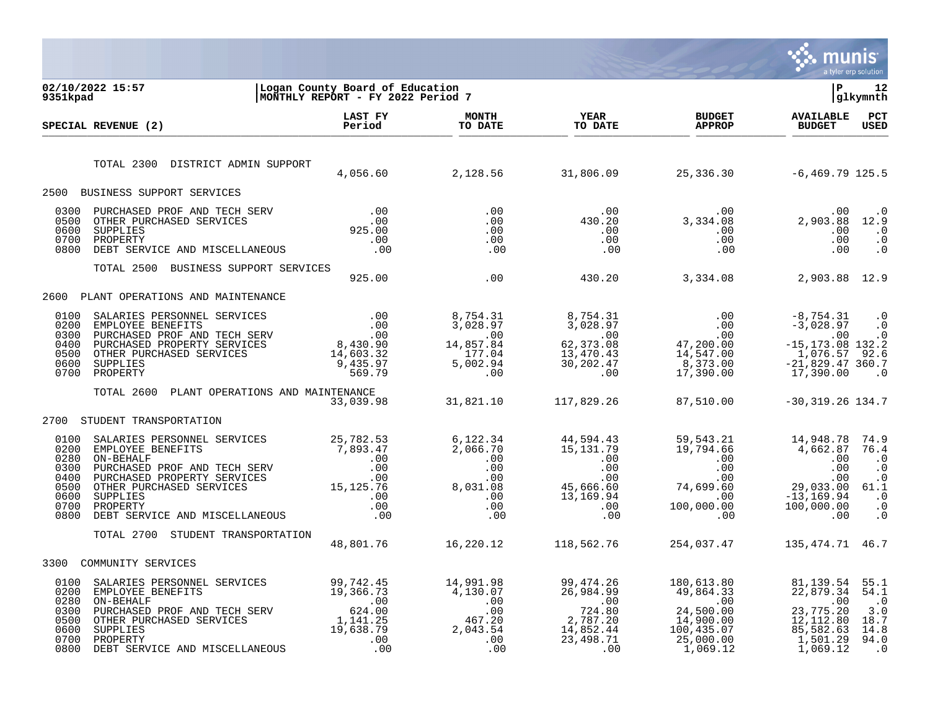

| 02/10/2022 15:57<br>9351kpad                                                                    | Logan County Board of Education<br>MONTHLY REPORT - FY 2022 Period 7                                                                                                                                                                                                                                                                                             |                         |                                      |                                                                 | l P                               | 12<br> glkymnth    |
|-------------------------------------------------------------------------------------------------|------------------------------------------------------------------------------------------------------------------------------------------------------------------------------------------------------------------------------------------------------------------------------------------------------------------------------------------------------------------|-------------------------|--------------------------------------|-----------------------------------------------------------------|-----------------------------------|--------------------|
| SPECIAL REVENUE (2)                                                                             | LAST FY<br>Period                                                                                                                                                                                                                                                                                                                                                | <b>MONTH</b><br>TO DATE | <b>YEAR</b><br>TO DATE               | <b>BUDGET</b><br><b>APPROP</b>                                  | <b>AVAILABLE</b><br><b>BUDGET</b> | PCT<br><b>USED</b> |
| TOTAL 2300 DISTRICT ADMIN SUPPORT                                                               |                                                                                                                                                                                                                                                                                                                                                                  |                         |                                      | $4,056.60$ $2,128.56$ $31,806.09$ $25,336.30$ $-6,469.79$ 125.5 |                                   |                    |
| 2500 BUSINESS SUPPORT SERVICES                                                                  |                                                                                                                                                                                                                                                                                                                                                                  |                         |                                      |                                                                 |                                   |                    |
| 0300<br>0500<br>0600<br>0700 PROPERTY<br>PROPERTY<br>DEBT SERVICE AND MISCELLANEOUS .00<br>0800 |                                                                                                                                                                                                                                                                                                                                                                  |                         |                                      |                                                                 |                                   |                    |
| TOTAL 2500 BUSINESS SUPPORT SERVICES                                                            |                                                                                                                                                                                                                                                                                                                                                                  |                         |                                      | 925.00 0 0 0 430.20 3,334.08 2,903.88 12.9                      |                                   |                    |
| 2600 PLANT OPERATIONS AND MAINTENANCE                                                           |                                                                                                                                                                                                                                                                                                                                                                  |                         |                                      |                                                                 |                                   |                    |
| 0100<br>0200<br>0300<br>0400<br>0500<br>0600<br>0700 PROPERTY                                   |                                                                                                                                                                                                                                                                                                                                                                  |                         |                                      |                                                                 |                                   |                    |
| TOTAL 2600 PLANT OPERATIONS AND MAINTENANCE                                                     |                                                                                                                                                                                                                                                                                                                                                                  |                         |                                      | $33,039.98$ $31,821.10$ $117,829.26$ 87,510.00                  | $-30, 319.26$ 134.7               |                    |
| 2700 STUDENT TRANSPORTATION                                                                     |                                                                                                                                                                                                                                                                                                                                                                  |                         |                                      |                                                                 |                                   |                    |
| 0100<br>0200<br>0280<br>0300<br>0400<br>0500<br>0600<br>0700<br>0800                            | $\begin{tabular}{l c c c c c c c c} \texttt{SALARIES PERSONNEL} & \texttt{SERVICES} & \texttt{25,782.53} & \texttt{6,122.34} & \texttt{44,594.43} & \texttt{59,543.21} & \texttt{14,948.78} & \texttt{74.9} & \texttt{74.9} & \texttt{74.9} & \texttt{74.9} & \texttt{74.9} & \texttt{74.9} & \texttt{74.9} & \texttt{74.9} & \texttt{74.9} & \texttt{74.9} & \$ |                         |                                      |                                                                 |                                   |                    |
| TOTAL 2700 STUDENT TRANSPORTATION                                                               |                                                                                                                                                                                                                                                                                                                                                                  |                         | 48,801.76    16,220.12    118,562.76 | 254,037.47                                                      | 135, 474. 71 46. 7                |                    |
| 3300 COMMUNITY SERVICES                                                                         |                                                                                                                                                                                                                                                                                                                                                                  |                         |                                      |                                                                 |                                   |                    |
| 0100<br>0200<br>0280<br>0300<br>0500<br>0600 SUPPLIES<br>0700<br>0800                           | 3ALARIES PERSONNEL SERVICES<br>EMPLOYEE BENEFITS 19,366.73 19,366.73 4,130.07 26,984.99 474.26 180,613.80 81,139.54 55.1<br>ON-BEHALF PROF AND TECH SERV 624.00 .00<br>DIRCHASED PROF AND TECH SERV<br>OTHER PURCHASED SERVICES 1,141                                                                                                                            |                         |                                      |                                                                 |                                   | $\cdot$ 0          |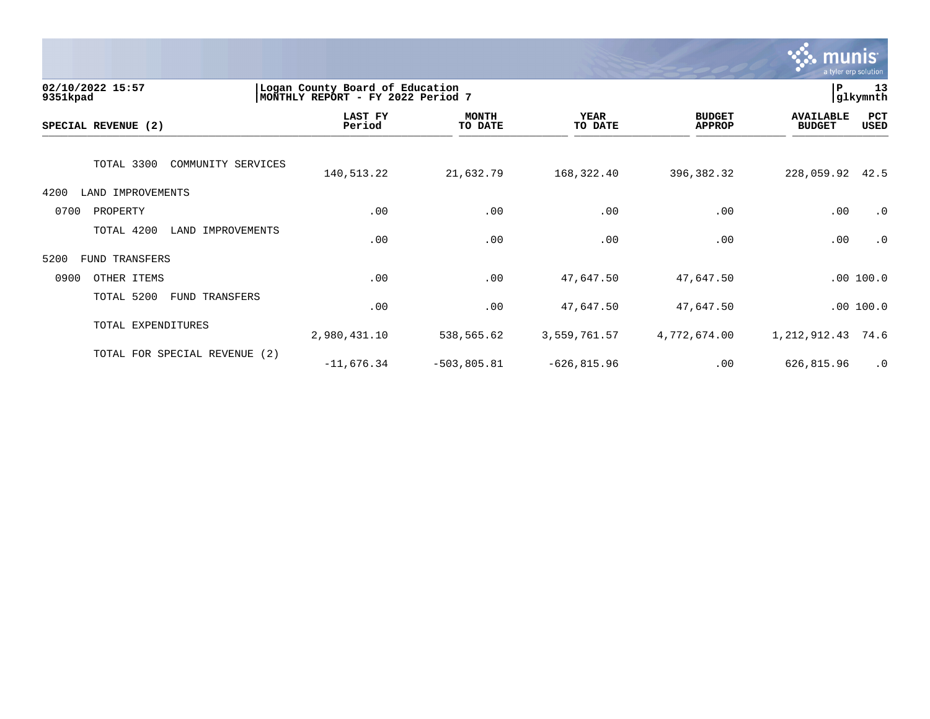

| 02/10/2022 15:57<br>9351kpad       | Logan County Board of Education<br>MONTHLY REPORT - FY 2022 Period 7 |                         |                        |                                |                                   | 13<br>glkymnth |
|------------------------------------|----------------------------------------------------------------------|-------------------------|------------------------|--------------------------------|-----------------------------------|----------------|
| SPECIAL REVENUE (2)                | LAST FY<br>Period                                                    | <b>MONTH</b><br>TO DATE | <b>YEAR</b><br>TO DATE | <b>BUDGET</b><br><b>APPROP</b> | <b>AVAILABLE</b><br><b>BUDGET</b> | PCT<br>USED    |
| TOTAL 3300<br>COMMUNITY SERVICES   | 140,513.22                                                           | 21,632.79               | 168,322.40             | 396,382.32                     | 228,059.92                        | 42.5           |
| LAND IMPROVEMENTS<br>4200          |                                                                      |                         |                        |                                |                                   |                |
| 0700<br>PROPERTY                   | .00                                                                  | .00                     | .00                    | .00                            | .00                               | $\cdot$ 0      |
| TOTAL 4200<br>LAND<br>IMPROVEMENTS | .00                                                                  | .00                     | .00                    | .00                            | .00                               | $\cdot$ 0      |
| 5200<br>FUND TRANSFERS             |                                                                      |                         |                        |                                |                                   |                |
| 0900<br>OTHER ITEMS                | .00                                                                  | .00                     | 47,647.50              | 47,647.50                      |                                   | .00100.0       |
| TOTAL 5200<br>FUND TRANSFERS       | .00                                                                  | .00                     | 47,647.50              | 47,647.50                      |                                   | .00 100.0      |
| TOTAL EXPENDITURES                 | 2,980,431.10                                                         | 538,565.62              | 3,559,761.57           | 4,772,674.00                   | 1, 212, 912.43                    | 74.6           |
| TOTAL FOR SPECIAL REVENUE (2)      | $-11,676.34$                                                         | $-503,805.81$           | $-626, 815.96$         | .00                            | 626,815.96                        | $\cdot$ 0      |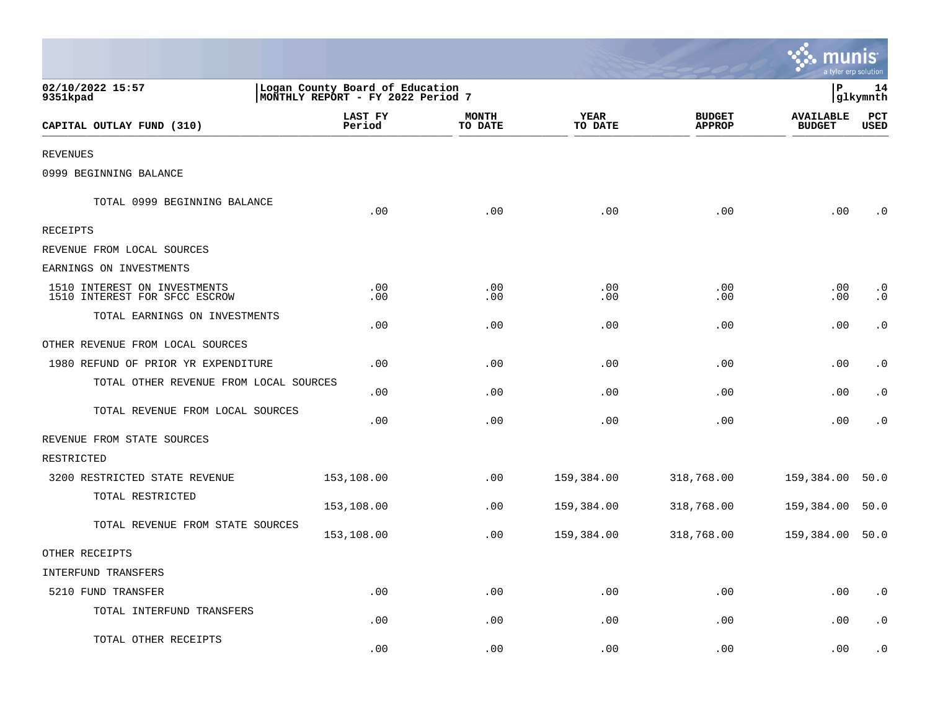|                                                               |                                                                      |                         |                             |                                | mu<br>a tyler erp solution        |                        |
|---------------------------------------------------------------|----------------------------------------------------------------------|-------------------------|-----------------------------|--------------------------------|-----------------------------------|------------------------|
| 02/10/2022 15:57<br>9351kpad                                  | Logan County Board of Education<br>MONTHLY REPORT - FY 2022 Period 7 |                         |                             |                                | $\mathbf P$                       | 14<br>glkymnth         |
| CAPITAL OUTLAY FUND (310)                                     | LAST FY<br>Period                                                    | <b>MONTH</b><br>TO DATE | <b>YEAR</b><br>TO DATE      | <b>BUDGET</b><br><b>APPROP</b> | <b>AVAILABLE</b><br><b>BUDGET</b> | PCT<br>USED            |
| <b>REVENUES</b>                                               |                                                                      |                         |                             |                                |                                   |                        |
| 0999 BEGINNING BALANCE                                        |                                                                      |                         |                             |                                |                                   |                        |
| TOTAL 0999 BEGINNING BALANCE                                  | .00                                                                  | .00                     | .00                         | .00                            | .00                               | $\cdot$ 0              |
| RECEIPTS                                                      |                                                                      |                         |                             |                                |                                   |                        |
| REVENUE FROM LOCAL SOURCES                                    |                                                                      |                         |                             |                                |                                   |                        |
| EARNINGS ON INVESTMENTS                                       |                                                                      |                         |                             |                                |                                   |                        |
| 1510 INTEREST ON INVESTMENTS<br>1510 INTEREST FOR SFCC ESCROW | .00<br>.00                                                           | .00<br>.00              | .00<br>.00                  | .00<br>.00                     | $.00 \,$<br>.00                   | $\cdot$ 0<br>$\cdot$ 0 |
| TOTAL EARNINGS ON INVESTMENTS                                 | .00                                                                  | .00                     | .00                         | .00                            | .00                               | $\cdot$ 0              |
| OTHER REVENUE FROM LOCAL SOURCES                              |                                                                      |                         |                             |                                |                                   |                        |
| 1980 REFUND OF PRIOR YR EXPENDITURE                           | .00                                                                  | .00                     | .00                         | .00                            | .00                               | $\cdot$ 0              |
| TOTAL OTHER REVENUE FROM LOCAL SOURCES                        | .00                                                                  | .00                     | .00                         | .00                            | .00                               | $\cdot$ 0              |
| TOTAL REVENUE FROM LOCAL SOURCES                              | .00                                                                  | .00                     | .00                         | .00                            | .00                               | $\cdot$ 0              |
| REVENUE FROM STATE SOURCES                                    |                                                                      |                         |                             |                                |                                   |                        |
| RESTRICTED                                                    |                                                                      |                         |                             |                                |                                   |                        |
| 3200 RESTRICTED STATE REVENUE                                 | 153,108.00                                                           | .00                     | 159,384.00                  | 318,768.00                     | 159,384.00                        | 50.0                   |
| TOTAL RESTRICTED                                              | 153,108.00                                                           | .00                     | 159,384.00                  | 318,768.00                     | 159,384.00                        | 50.0                   |
| TOTAL REVENUE FROM STATE SOURCES                              | 153,108.00                                                           | .00                     | 159,384.00                  | 318,768.00                     | 159,384.00 50.0                   |                        |
| OTHER RECEIPTS                                                |                                                                      |                         |                             |                                |                                   |                        |
| INTERFUND TRANSFERS                                           |                                                                      |                         |                             |                                |                                   |                        |
| 5210 FUND TRANSFER                                            | .00                                                                  | .00                     | .00                         | .00                            | .00                               | $\boldsymbol{\cdot}$ 0 |
| TOTAL INTERFUND TRANSFERS                                     | .00                                                                  | .00                     | .00                         | .00                            | .00                               | $\cdot$ 0              |
| TOTAL OTHER RECEIPTS                                          | .00                                                                  | .00                     | $\boldsymbol{\mathsf{.00}}$ | .00                            | .00                               | $\cdot$ 0              |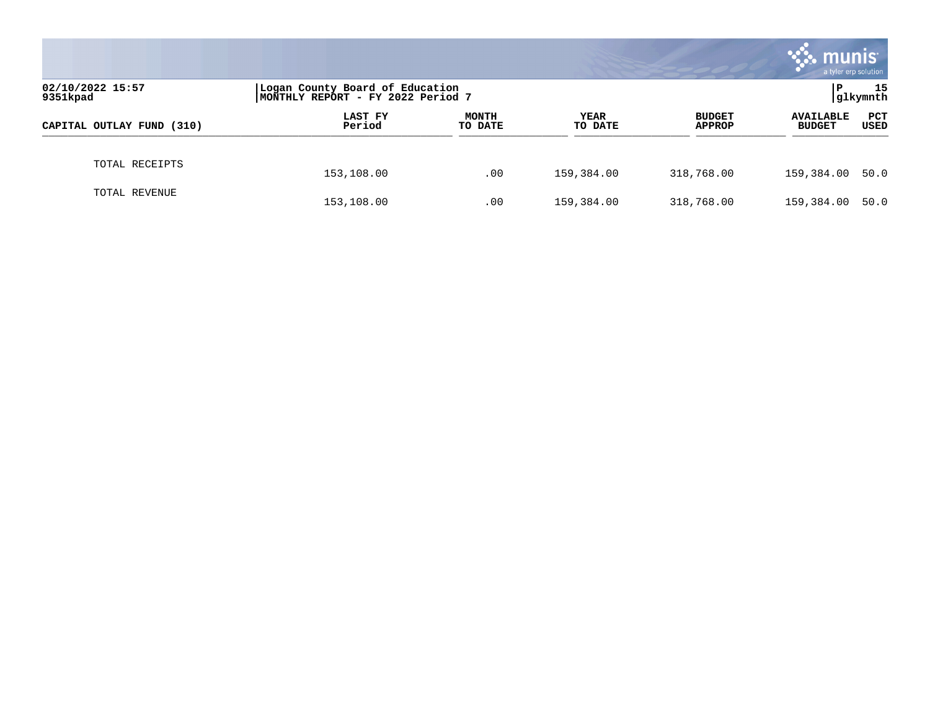|                              |                                                                      |                         |                 |                                | <b>munis</b><br>a tyler erp solution |                    |
|------------------------------|----------------------------------------------------------------------|-------------------------|-----------------|--------------------------------|--------------------------------------|--------------------|
| 02/10/2022 15:57<br>9351kpad | Logan County Board of Education<br>MONTHLY REPORT - FY 2022 Period 7 |                         |                 |                                | P                                    | 15<br>glkymnth     |
| CAPITAL OUTLAY FUND (310)    | LAST FY<br>Period                                                    | <b>MONTH</b><br>TO DATE | YEAR<br>TO DATE | <b>BUDGET</b><br><b>APPROP</b> | <b>AVAILABLE</b><br><b>BUDGET</b>    | <b>PCT</b><br>USED |
| TOTAL RECEIPTS               | 153,108.00                                                           | .00                     | 159,384.00      | 318,768.00                     | 159,384.00                           | 50.0               |
| TOTAL REVENUE                | 153,108.00                                                           | .00                     | 159,384.00      | 318,768.00                     | 159,384.00                           | 50.0               |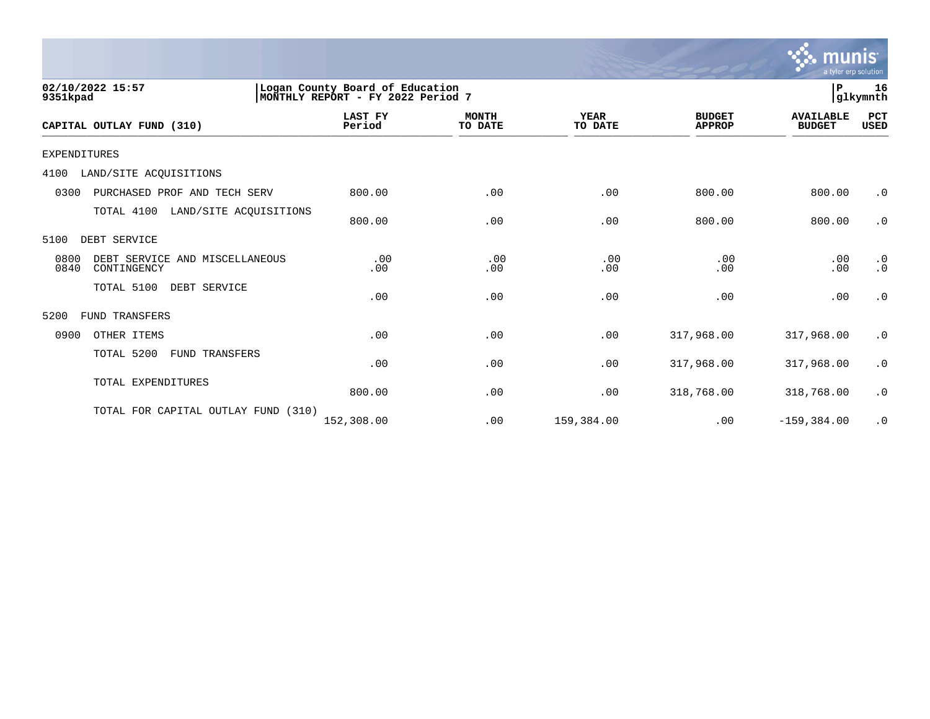

| 02/10/2022 15:57<br>9351kpad                                  |                                  | $\mathbf{P}$<br>Logan County Board of Education<br>16<br>glkymnth<br>MONTHLY REPORT - FY 2022 Period 7 |                        |                                |                                   |                        |  |  |
|---------------------------------------------------------------|----------------------------------|--------------------------------------------------------------------------------------------------------|------------------------|--------------------------------|-----------------------------------|------------------------|--|--|
| CAPITAL OUTLAY FUND (310)                                     | <b>LAST FY</b><br>Period         | <b>MONTH</b><br>TO DATE                                                                                | <b>YEAR</b><br>TO DATE | <b>BUDGET</b><br><b>APPROP</b> | <b>AVAILABLE</b><br><b>BUDGET</b> | PCT<br><b>USED</b>     |  |  |
| <b>EXPENDITURES</b>                                           |                                  |                                                                                                        |                        |                                |                                   |                        |  |  |
| LAND/SITE ACQUISITIONS<br>4100                                |                                  |                                                                                                        |                        |                                |                                   |                        |  |  |
| PURCHASED PROF AND TECH SERV<br>0300                          | 800.00                           | .00                                                                                                    | .00                    | 800.00                         | 800.00                            | $\cdot$ 0              |  |  |
| TOTAL 4100                                                    | LAND/SITE ACQUISITIONS<br>800.00 | .00                                                                                                    | .00                    | 800.00                         | 800.00                            | $\cdot$ 0              |  |  |
| DEBT SERVICE<br>5100                                          |                                  |                                                                                                        |                        |                                |                                   |                        |  |  |
| 0800<br>DEBT SERVICE AND MISCELLANEOUS<br>0840<br>CONTINGENCY | .00<br>.00                       | .00<br>.00                                                                                             | .00<br>.00             | .00<br>.00                     | .00<br>.00                        | $\cdot$ 0<br>$\cdot$ 0 |  |  |
| TOTAL 5100<br>DEBT SERVICE                                    | .00                              | .00                                                                                                    | .00                    | .00                            | .00                               | $\cdot$ 0              |  |  |
| <b>FUND TRANSFERS</b><br>5200                                 |                                  |                                                                                                        |                        |                                |                                   |                        |  |  |
| 0900<br>OTHER ITEMS                                           | .00                              | .00                                                                                                    | .00                    | 317,968.00                     | 317,968.00                        | $\cdot$ 0              |  |  |
| TOTAL 5200<br>FUND TRANSFERS                                  | .00                              | .00                                                                                                    | .00                    | 317,968.00                     | 317,968.00                        | $\cdot$ 0              |  |  |
| TOTAL EXPENDITURES                                            | 800.00                           | .00                                                                                                    | .00                    | 318,768.00                     | 318,768.00                        | $\cdot$ 0              |  |  |
| TOTAL FOR CAPITAL OUTLAY FUND                                 | (310)<br>152,308.00              | .00                                                                                                    | 159,384.00             | .00                            | $-159, 384.00$                    | $\cdot$ 0              |  |  |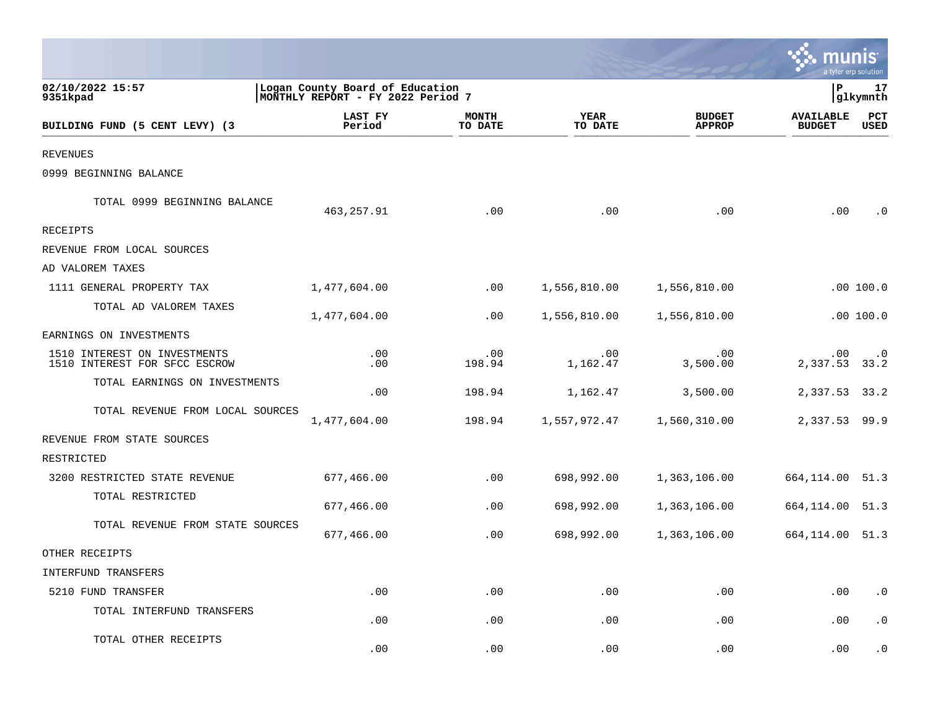|                                                               |                                                                      |                         |                             |                                |                                   | a tyler erp solution   |
|---------------------------------------------------------------|----------------------------------------------------------------------|-------------------------|-----------------------------|--------------------------------|-----------------------------------|------------------------|
| 02/10/2022 15:57<br>9351kpad                                  | Logan County Board of Education<br>MONTHLY REPORT - FY 2022 Period 7 |                         |                             |                                | P                                 | 17<br>glkymnth         |
| BUILDING FUND (5 CENT LEVY) (3                                | LAST FY<br>Period                                                    | <b>MONTH</b><br>TO DATE | <b>YEAR</b><br>TO DATE      | <b>BUDGET</b><br><b>APPROP</b> | <b>AVAILABLE</b><br><b>BUDGET</b> | PCT<br><b>USED</b>     |
| <b>REVENUES</b>                                               |                                                                      |                         |                             |                                |                                   |                        |
| 0999 BEGINNING BALANCE                                        |                                                                      |                         |                             |                                |                                   |                        |
| TOTAL 0999 BEGINNING BALANCE                                  | 463,257.91                                                           | .00                     | .00                         | .00                            | .00                               | $\cdot$ 0              |
| RECEIPTS                                                      |                                                                      |                         |                             |                                |                                   |                        |
| REVENUE FROM LOCAL SOURCES                                    |                                                                      |                         |                             |                                |                                   |                        |
| AD VALOREM TAXES                                              |                                                                      |                         |                             |                                |                                   |                        |
| 1111 GENERAL PROPERTY TAX                                     | 1,477,604.00                                                         | $.00 \,$                | 1,556,810.00                | 1,556,810.00                   |                                   | .00 100.0              |
| TOTAL AD VALOREM TAXES                                        | 1,477,604.00                                                         | $.00 \,$                | 1,556,810.00                | 1,556,810.00                   |                                   | .00 100.0              |
| EARNINGS ON INVESTMENTS                                       |                                                                      |                         |                             |                                |                                   |                        |
| 1510 INTEREST ON INVESTMENTS<br>1510 INTEREST FOR SFCC ESCROW | .00<br>.00                                                           | .00<br>198.94           | .00<br>1,162.47             | .00<br>3,500.00                | $.00 \,$<br>2,337.53              | $\cdot$ 0<br>33.2      |
| TOTAL EARNINGS ON INVESTMENTS                                 | .00                                                                  | 198.94                  | 1,162.47                    | 3,500.00                       | 2,337.53 33.2                     |                        |
| TOTAL REVENUE FROM LOCAL SOURCES                              | 1,477,604.00                                                         | 198.94                  | 1,557,972.47                | 1,560,310.00                   | 2,337.53 99.9                     |                        |
| REVENUE FROM STATE SOURCES                                    |                                                                      |                         |                             |                                |                                   |                        |
| RESTRICTED                                                    |                                                                      |                         |                             |                                |                                   |                        |
| 3200 RESTRICTED STATE REVENUE                                 | 677,466.00                                                           | .00                     | 698,992.00                  | 1,363,106.00                   | 664, 114.00 51.3                  |                        |
| TOTAL RESTRICTED                                              | 677,466.00                                                           | .00                     | 698,992.00                  | 1,363,106.00                   | 664,114.00                        | 51.3                   |
| TOTAL REVENUE FROM STATE SOURCES                              | 677,466.00                                                           | .00                     | 698,992.00                  | 1,363,106.00                   | 664, 114.00 51.3                  |                        |
| OTHER RECEIPTS                                                |                                                                      |                         |                             |                                |                                   |                        |
| INTERFUND TRANSFERS                                           |                                                                      |                         |                             |                                |                                   |                        |
| 5210 FUND TRANSFER                                            | .00                                                                  | .00                     | .00                         | .00                            | .00                               | $\boldsymbol{\cdot}$ 0 |
| TOTAL INTERFUND TRANSFERS                                     | .00                                                                  | .00                     | .00                         | .00                            | .00                               | $\cdot$ 0              |
| TOTAL OTHER RECEIPTS                                          | .00                                                                  | .00                     | $\boldsymbol{\mathsf{.00}}$ | .00                            | .00                               | $\cdot$ 0              |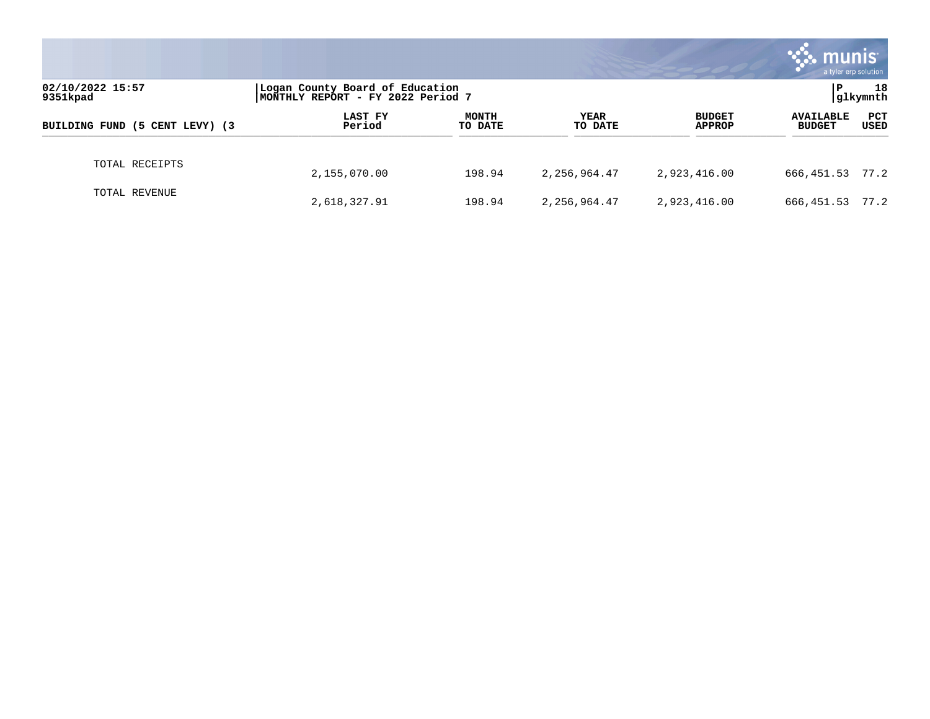|                                |                                                                      |                         |                        |                                | munis<br>a tyler erp solution     |                    |
|--------------------------------|----------------------------------------------------------------------|-------------------------|------------------------|--------------------------------|-----------------------------------|--------------------|
| 02/10/2022 15:57<br>9351kpad   | Logan County Board of Education<br>MONTHLY REPORT - FY 2022 Period 7 |                         |                        | 18<br>P<br>glkymnth            |                                   |                    |
| BUILDING FUND (5 CENT LEVY) (3 | LAST FY<br>Period                                                    | <b>MONTH</b><br>TO DATE | <b>YEAR</b><br>TO DATE | <b>BUDGET</b><br><b>APPROP</b> | <b>AVAILABLE</b><br><b>BUDGET</b> | <b>PCT</b><br>USED |
| TOTAL RECEIPTS                 | 2,155,070.00                                                         | 198.94                  | 2,256,964.47           | 2,923,416.00                   | 666, 451.53 77.2                  |                    |
| TOTAL REVENUE                  | 2,618,327.91                                                         | 198.94                  | 2,256,964.47           | 2,923,416.00                   | 666,451.53                        | 77.2               |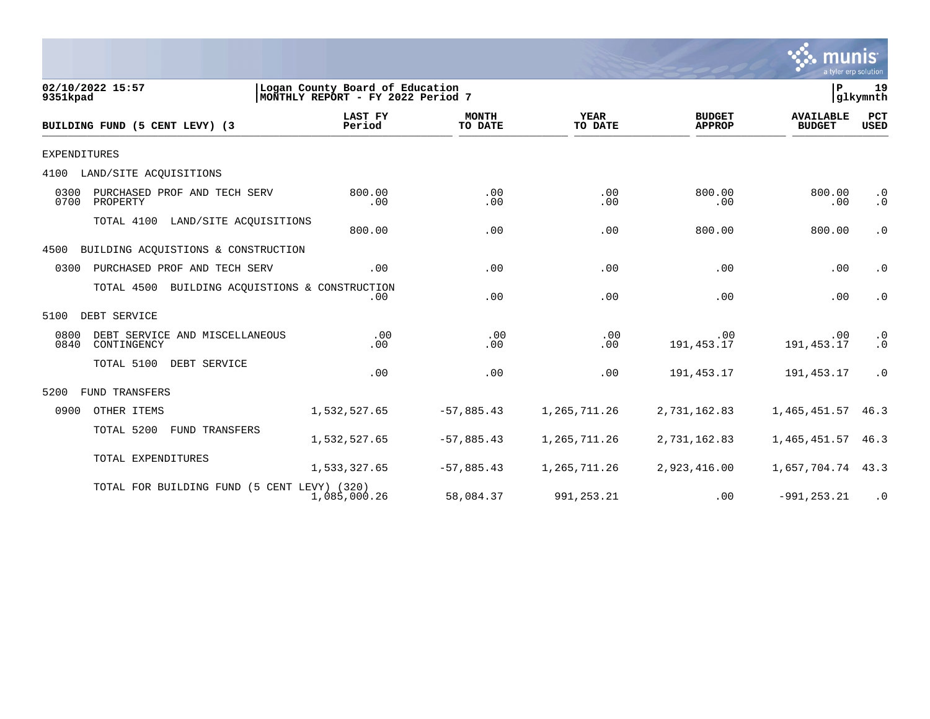

| 02/10/2022 15:57<br>9351kpad                                  |                                                | Logan County Board of Education<br>MONTHLY REPORT - FY 2022 Period 7 |                         |                        |                                | P                                 | 19<br>glkymnth         |
|---------------------------------------------------------------|------------------------------------------------|----------------------------------------------------------------------|-------------------------|------------------------|--------------------------------|-----------------------------------|------------------------|
| BUILDING FUND (5 CENT LEVY) (3                                |                                                | LAST FY<br>Period                                                    | <b>MONTH</b><br>TO DATE | <b>YEAR</b><br>TO DATE | <b>BUDGET</b><br><b>APPROP</b> | <b>AVAILABLE</b><br><b>BUDGET</b> | PCT<br><b>USED</b>     |
| <b>EXPENDITURES</b>                                           |                                                |                                                                      |                         |                        |                                |                                   |                        |
| LAND/SITE ACOUISITIONS<br>4100                                |                                                |                                                                      |                         |                        |                                |                                   |                        |
| 0300<br>PURCHASED PROF AND TECH SERV<br>0700<br>PROPERTY      |                                                | 800.00<br>.00                                                        | .00<br>.00              | .00<br>.00             | 800.00<br>.00                  | 800.00<br>.00                     | $\cdot$ 0<br>$\cdot$ 0 |
| TOTAL 4100                                                    | LAND/SITE ACQUISITIONS                         | 800.00                                                               | .00                     | .00                    | 800.00                         | 800.00                            | $\cdot$ 0              |
| BUILDING ACQUISTIONS & CONSTRUCTION<br>4500                   |                                                |                                                                      |                         |                        |                                |                                   |                        |
| 0300<br>PURCHASED PROF AND TECH SERV                          |                                                | .00                                                                  | .00                     | .00                    | .00                            | .00                               | $\cdot$ 0              |
|                                                               | TOTAL 4500 BUILDING ACQUISTIONS & CONSTRUCTION | .00                                                                  | .00                     | .00                    | .00                            | .00                               | $\cdot$ 0              |
| DEBT SERVICE<br>5100                                          |                                                |                                                                      |                         |                        |                                |                                   |                        |
| 0800<br>DEBT SERVICE AND MISCELLANEOUS<br>0840<br>CONTINGENCY |                                                | .00<br>.00                                                           | .00<br>.00              | .00<br>.00             | .00<br>191, 453.17             | .00<br>191, 453. 17               | $\cdot$ 0<br>$\cdot$ 0 |
| TOTAL 5100                                                    | DEBT SERVICE                                   | .00                                                                  | .00                     | .00                    | 191,453.17                     | 191,453.17                        | $\cdot$ 0              |
| 5200<br><b>FUND TRANSFERS</b>                                 |                                                |                                                                      |                         |                        |                                |                                   |                        |
| 0900<br>OTHER ITEMS                                           |                                                | 1,532,527.65                                                         | $-57,885.43$            | 1,265,711.26           | 2,731,162.83                   | 1,465,451.57                      | 46.3                   |
| TOTAL 5200                                                    | FUND TRANSFERS                                 | 1,532,527.65                                                         | $-57,885.43$            | 1,265,711.26           | 2,731,162.83                   | 1,465,451.57                      | 46.3                   |
| TOTAL EXPENDITURES                                            |                                                | 1,533,327.65                                                         | $-57,885.43$            | 1,265,711.26           | 2,923,416.00                   | 1,657,704.74 43.3                 |                        |
|                                                               | TOTAL FOR BUILDING FUND (5 CENT LEVY) (320)    | 1,085,000.26                                                         | 58,084.37               | 991,253.21             | .00                            | $-991, 253.21$                    | $\cdot$ 0              |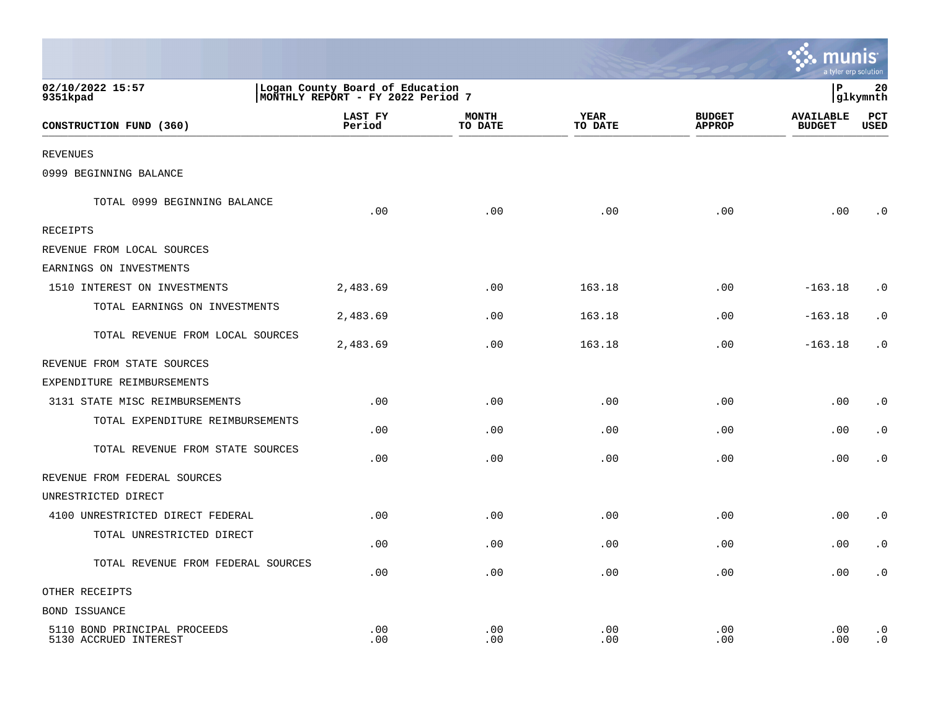|                                                       |                                                                      |                         |                 |                                | munis<br>a tyler erp solution     |                             |
|-------------------------------------------------------|----------------------------------------------------------------------|-------------------------|-----------------|--------------------------------|-----------------------------------|-----------------------------|
| 02/10/2022 15:57<br>9351kpad                          | Logan County Board of Education<br>MONTHLY REPORT - FY 2022 Period 7 |                         |                 |                                | lР                                | 20<br> glkymnth             |
| CONSTRUCTION FUND (360)                               | LAST FY<br>Period                                                    | <b>MONTH</b><br>TO DATE | YEAR<br>TO DATE | <b>BUDGET</b><br><b>APPROP</b> | <b>AVAILABLE</b><br><b>BUDGET</b> | $_{\rm PCT}$<br><b>USED</b> |
| <b>REVENUES</b>                                       |                                                                      |                         |                 |                                |                                   |                             |
| 0999 BEGINNING BALANCE                                |                                                                      |                         |                 |                                |                                   |                             |
| TOTAL 0999 BEGINNING BALANCE                          | .00                                                                  | .00                     | .00             | .00                            | .00                               | . 0                         |
| <b>RECEIPTS</b>                                       |                                                                      |                         |                 |                                |                                   |                             |
| REVENUE FROM LOCAL SOURCES                            |                                                                      |                         |                 |                                |                                   |                             |
| EARNINGS ON INVESTMENTS                               |                                                                      |                         |                 |                                |                                   |                             |
| 1510 INTEREST ON INVESTMENTS                          | 2,483.69                                                             | .00                     | 163.18          | .00                            | $-163.18$                         | $\cdot$ 0                   |
| TOTAL EARNINGS ON INVESTMENTS                         | 2,483.69                                                             | .00                     | 163.18          | .00                            | $-163.18$                         | $\cdot$ 0                   |
| TOTAL REVENUE FROM LOCAL SOURCES                      | 2,483.69                                                             | .00                     | 163.18          | .00                            | $-163.18$                         | . 0                         |
| REVENUE FROM STATE SOURCES                            |                                                                      |                         |                 |                                |                                   |                             |
| EXPENDITURE REIMBURSEMENTS                            |                                                                      |                         |                 |                                |                                   |                             |
| 3131 STATE MISC REIMBURSEMENTS                        | .00                                                                  | .00                     | .00             | .00                            | .00                               | . 0                         |
| TOTAL EXPENDITURE REIMBURSEMENTS                      | .00                                                                  | .00                     | .00             | .00                            | .00                               | $\cdot$ 0                   |
| TOTAL REVENUE FROM STATE SOURCES                      | .00                                                                  | .00                     | .00             | .00                            | .00                               | $\cdot$ 0                   |
| REVENUE FROM FEDERAL SOURCES                          |                                                                      |                         |                 |                                |                                   |                             |
| UNRESTRICTED DIRECT                                   |                                                                      |                         |                 |                                |                                   |                             |
| 4100 UNRESTRICTED DIRECT FEDERAL                      | .00                                                                  | .00                     | .00             | .00                            | .00                               | $\cdot$ 0                   |
| TOTAL UNRESTRICTED DIRECT                             | .00                                                                  | .00                     | .00             | .00                            | .00                               | $\cdot$ 0                   |
| TOTAL REVENUE FROM FEDERAL SOURCES                    | .00                                                                  | .00                     | .00             | .00                            | .00                               | $\cdot$ 0                   |
| OTHER RECEIPTS                                        |                                                                      |                         |                 |                                |                                   |                             |
| <b>BOND ISSUANCE</b>                                  |                                                                      |                         |                 |                                |                                   |                             |
| 5110 BOND PRINCIPAL PROCEEDS<br>5130 ACCRUED INTEREST | .00<br>.00                                                           | .00<br>.00              | .00<br>.00      | .00<br>.00                     | .00<br>.00                        | $\cdot$ 0<br>$\cdot$ 0      |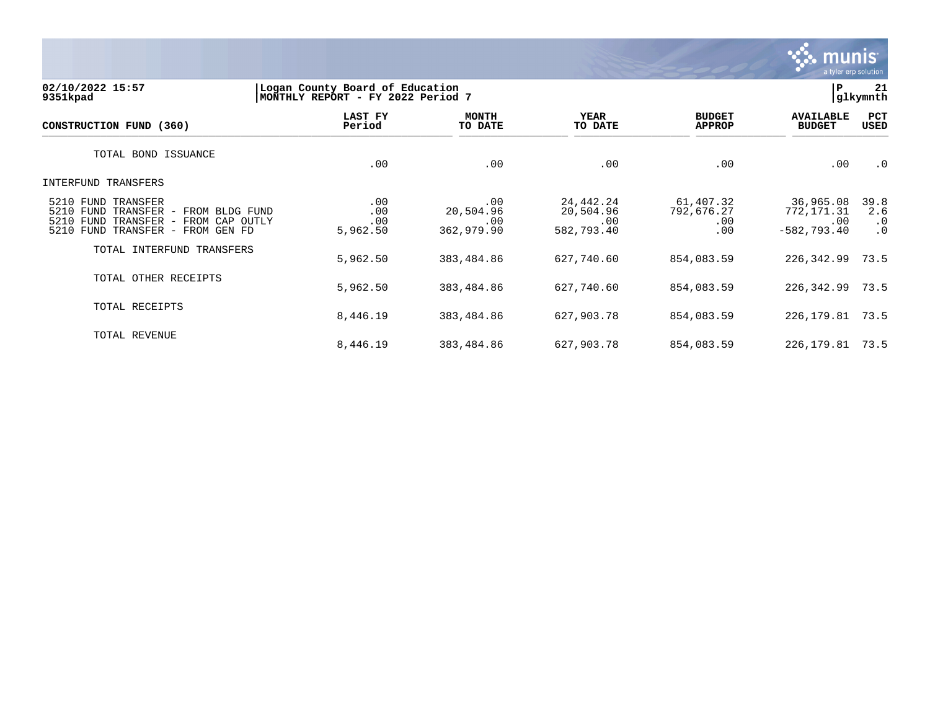

#### **02/10/2022 15:57 |Logan County Board of Education |P 21 9351kpad |MONTHLY REPORT - FY 2022 Period 7 |glkymnth**

| CONSTRUCTION FUND (360)                                                                                                                            | LAST FY<br>Period             | <b>MONTH</b><br>TO DATE               | <b>YEAR</b><br>TO DATE                      | <b>BUDGET</b><br><b>APPROP</b>        | <b>AVAILABLE</b><br><b>BUDGET</b>                     | PCT<br>USED                           |
|----------------------------------------------------------------------------------------------------------------------------------------------------|-------------------------------|---------------------------------------|---------------------------------------------|---------------------------------------|-------------------------------------------------------|---------------------------------------|
| TOTAL BOND ISSUANCE                                                                                                                                | .00                           | .00                                   | .00                                         | .00                                   | .00                                                   | $\cdot$ 0                             |
| INTERFUND TRANSFERS                                                                                                                                |                               |                                       |                                             |                                       |                                                       |                                       |
| 5210 FUND TRANSFER<br>5210 FUND TRANSFER<br>- FROM BLDG FUND<br>5210 FUND TRANSFER<br>FROM CAP OUTLY<br>$\sim$<br>5210 FUND TRANSFER - FROM GEN FD | .00<br>.00<br>.00<br>5,962.50 | .00<br>20,504.96<br>.00<br>362,979.90 | 24,442.24<br>20,504.96<br>.00<br>582,793.40 | 61,407.32<br>792,676.27<br>.00<br>.00 | 36,965.08<br>772,171.31<br>$.00 \,$<br>$-582, 793.40$ | 39.8<br>2.6<br>$\cdot$ 0<br>$\cdot$ 0 |
| TOTAL INTERFUND TRANSFERS                                                                                                                          | 5,962.50                      | 383,484.86                            | 627,740.60                                  | 854,083.59                            | 226,342.99                                            | 73.5                                  |
| TOTAL OTHER RECEIPTS                                                                                                                               | 5,962.50                      | 383,484.86                            | 627,740.60                                  | 854,083.59                            | 226,342.99                                            | 73.5                                  |
| TOTAL RECEIPTS                                                                                                                                     | 8,446.19                      | 383,484.86                            | 627,903.78                                  | 854,083.59                            | 226,179.81                                            | 73.5                                  |
| TOTAL REVENUE                                                                                                                                      | 8,446.19                      | 383,484.86                            | 627,903.78                                  | 854,083.59                            | 226,179.81                                            | 73.5                                  |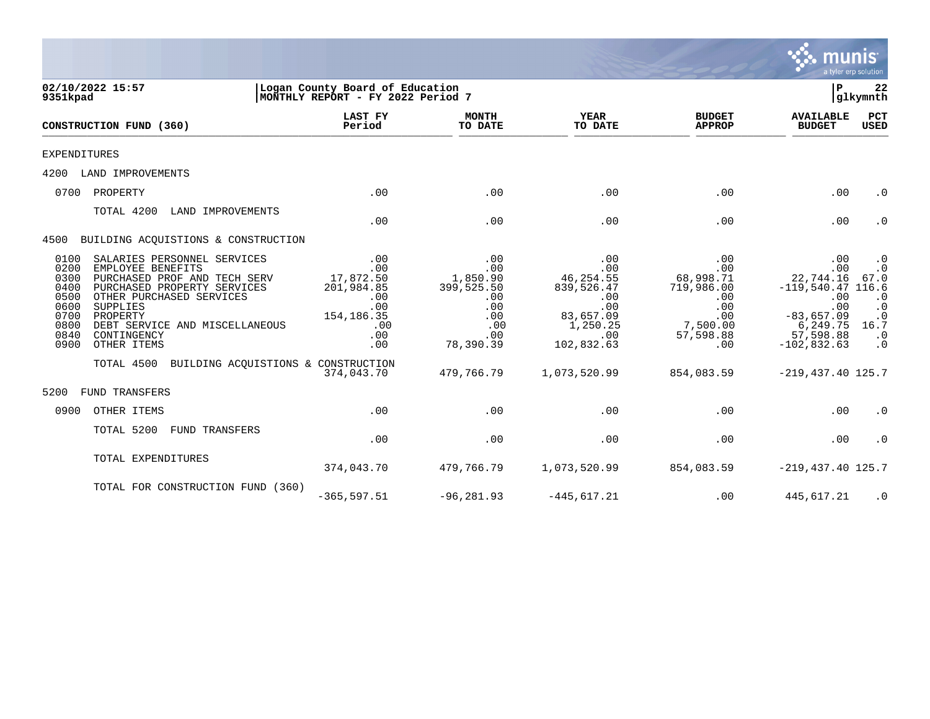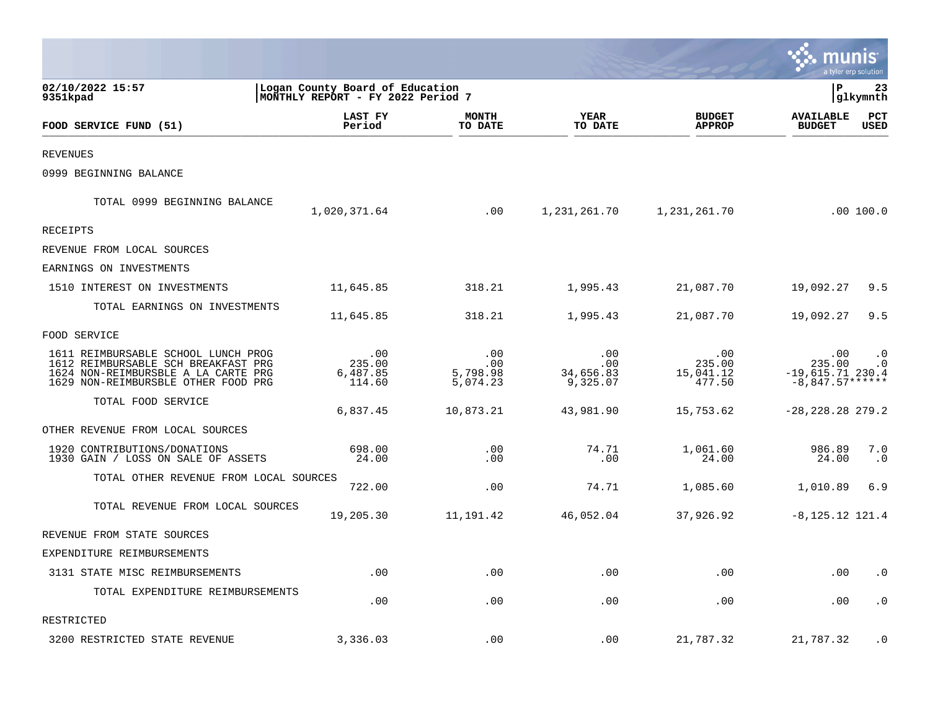|                                                                                                                                                          |                                                                      |                                    |                                     |                                      | munis                                                 | a tyler erp solution   |
|----------------------------------------------------------------------------------------------------------------------------------------------------------|----------------------------------------------------------------------|------------------------------------|-------------------------------------|--------------------------------------|-------------------------------------------------------|------------------------|
| 02/10/2022 15:57<br>9351kpad                                                                                                                             | Logan County Board of Education<br>MONTHLY REPORT - FY 2022 Period 7 |                                    |                                     |                                      | $\, {\bf P}$                                          | 23<br>glkymnth         |
| FOOD SERVICE FUND (51)                                                                                                                                   | LAST FY<br>Period                                                    | <b>MONTH</b><br>TO DATE            | <b>YEAR</b><br>TO DATE              | <b>BUDGET</b><br><b>APPROP</b>       | <b>AVAILABLE</b><br><b>BUDGET</b>                     | PCT<br><b>USED</b>     |
| REVENUES                                                                                                                                                 |                                                                      |                                    |                                     |                                      |                                                       |                        |
| 0999 BEGINNING BALANCE                                                                                                                                   |                                                                      |                                    |                                     |                                      |                                                       |                        |
| TOTAL 0999 BEGINNING BALANCE                                                                                                                             | 1,020,371.64                                                         | .00                                | 1,231,261.70                        | 1,231,261.70                         |                                                       | .00 100.0              |
| RECEIPTS                                                                                                                                                 |                                                                      |                                    |                                     |                                      |                                                       |                        |
| REVENUE FROM LOCAL SOURCES                                                                                                                               |                                                                      |                                    |                                     |                                      |                                                       |                        |
| EARNINGS ON INVESTMENTS                                                                                                                                  |                                                                      |                                    |                                     |                                      |                                                       |                        |
| 1510 INTEREST ON INVESTMENTS                                                                                                                             | 11,645.85                                                            | 318.21                             | 1,995.43                            | 21,087.70                            | 19,092.27                                             | 9.5                    |
| TOTAL EARNINGS ON INVESTMENTS                                                                                                                            | 11,645.85                                                            | 318.21                             | 1,995.43                            | 21,087.70                            | 19,092.27                                             | 9.5                    |
| FOOD SERVICE                                                                                                                                             |                                                                      |                                    |                                     |                                      |                                                       |                        |
| 1611 REIMBURSABLE SCHOOL LUNCH PROG<br>1612 REIMBURSABLE SCH BREAKFAST PRG<br>1624 NON-REIMBURSBLE A LA CARTE PRG<br>1629 NON-REIMBURSBLE OTHER FOOD PRG | .00<br>235.00<br>6,487.85<br>114.60                                  | .00<br>.00<br>5,798.98<br>5,074.23 | .00<br>.00<br>34,656.83<br>9,325.07 | .00<br>235.00<br>15,041.12<br>477.50 | .00<br>235.00<br>$-19,615.71$ 230.4<br>$-8,847.57***$ | $\cdot$ 0<br>$\cdot$ 0 |
| TOTAL FOOD SERVICE                                                                                                                                       | 6,837.45                                                             | 10,873.21                          | 43,981.90                           | 15,753.62                            | $-28, 228.28$ 279.2                                   |                        |
| OTHER REVENUE FROM LOCAL SOURCES                                                                                                                         |                                                                      |                                    |                                     |                                      |                                                       |                        |
| 1920 CONTRIBUTIONS/DONATIONS<br>1930 GAIN / LOSS ON SALE OF ASSETS                                                                                       | 698.00<br>24.00                                                      | .00<br>.00                         | 74.71<br>.00                        | 1,061.60<br>24.00                    | 986.89<br>24.00                                       | 7.0<br>$\cdot$ 0       |
| TOTAL OTHER REVENUE FROM LOCAL SOURCES                                                                                                                   | 722.00                                                               | .00                                | 74.71                               | 1,085.60                             | 1,010.89                                              | 6.9                    |
| TOTAL REVENUE FROM LOCAL SOURCES                                                                                                                         | 19,205.30                                                            | 11, 191.42                         | 46,052.04                           | 37,926.92                            | $-8, 125.12$ 121.4                                    |                        |
| REVENUE FROM STATE SOURCES                                                                                                                               |                                                                      |                                    |                                     |                                      |                                                       |                        |
| EXPENDITURE REIMBURSEMENTS                                                                                                                               |                                                                      |                                    |                                     |                                      |                                                       |                        |
| 3131 STATE MISC REIMBURSEMENTS                                                                                                                           | .00.                                                                 | .00                                | .00                                 | .00                                  | .00                                                   | $\cdot$ 0              |
| TOTAL EXPENDITURE REIMBURSEMENTS                                                                                                                         | .00                                                                  | .00                                | .00                                 | .00                                  | .00                                                   | $\cdot$ 0              |
| RESTRICTED                                                                                                                                               |                                                                      |                                    |                                     |                                      |                                                       |                        |
| 3200 RESTRICTED STATE REVENUE                                                                                                                            | 3,336.03                                                             | .00                                | .00                                 | 21,787.32                            | 21,787.32                                             | $\cdot$ 0              |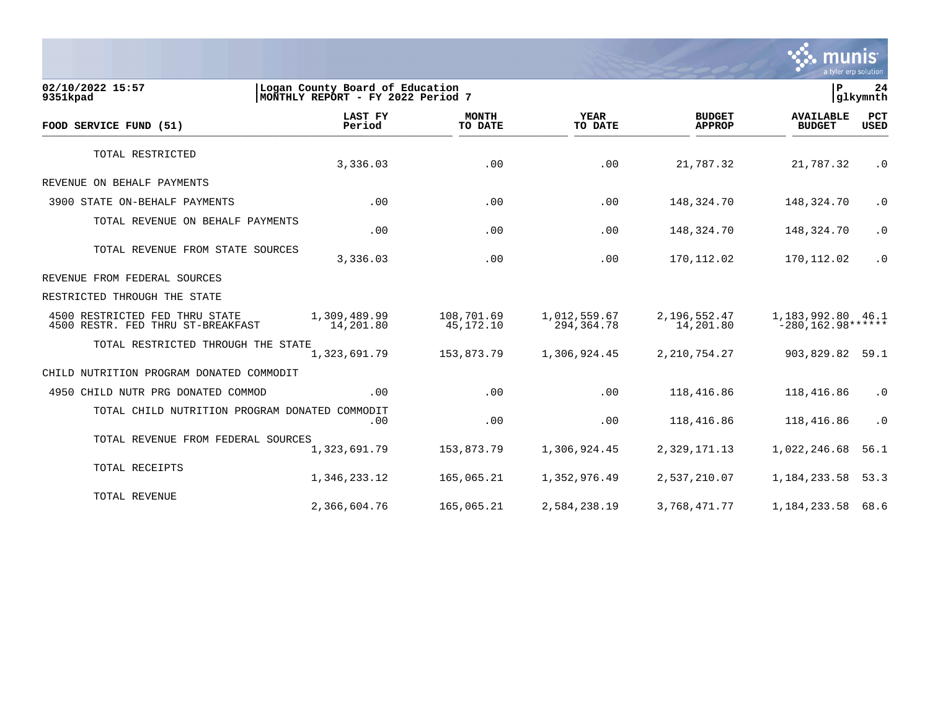

**02/10/2022 15:57 |Logan County Board of Education |P 24** MONTHLY REPORT - FY 2022 Period 7  **LAST FY MONTH YEAR BUDGET AVAILABLE PCT FOOD SERVICE FUND (51) Period TO DATE TO DATE APPROP BUDGET USED**  $\frac{10 \text{ BFR}}{10 \text{ BFR}}$ TOTAL RESTRICTED 3,336.03 .00 .00 21,787.32 21,787.32 .0 REVENUE ON BEHALF PAYMENTS 3900 STATE ON-BEHALF PAYMENTS .00 .00 .00 148,324.70 148,324.70 .0 TOTAL REVENUE ON BEHALF PAYMENTS .00 .00 .00 148,324.70 148,324.70 .0 TOTAL REVENUE FROM STATE SOURCES 0. 3,336.03 170,112.02 170,112.02 170,112.02 170,112.02 1 REVENUE FROM FEDERAL SOURCES RESTRICTED THROUGH THE STATE 4500 RESTRICTED FED THRU STATE 1,309,489.99 108,701.69 1,012,559.67 2,196,552.47 1,183,992.80 46.1 4500 RESTR. FED THRU ST-BREAKFAST TOTAL RESTRICTED THROUGH THE STATE<br>1,323,691.79 1,323,691.79 153,873.79 1,306,924.45 2,210,754.27 903,829.82 59.1 CHILD NUTRITION PROGRAM DONATED COMMODIT 4950 CHILD NUTR PRG DONATED COMMOD .00 .00 .00 118,416.86 118,416.86 .0 TOTAL CHILD NUTRITION PROGRAM DONATED COMMODIT .00 .00 .00 118,416.86 118,416.86 .0 TOTAL REVENUE FROM FEDERAL SOURCES 1,323,691.79 153,873.79 1,306,924.45 2,329,171.13 1,022,246.68 56.1 TOTAL RECEIPTS 1,346,233.12 165,065.21 1,352,976.49 2,537,210.07 1,184,233.58 53.3 TOTAL REVENUE 2,366,604.76 165,065.21 2,584,238.19 3,768,471.77 1,184,233.58 68.6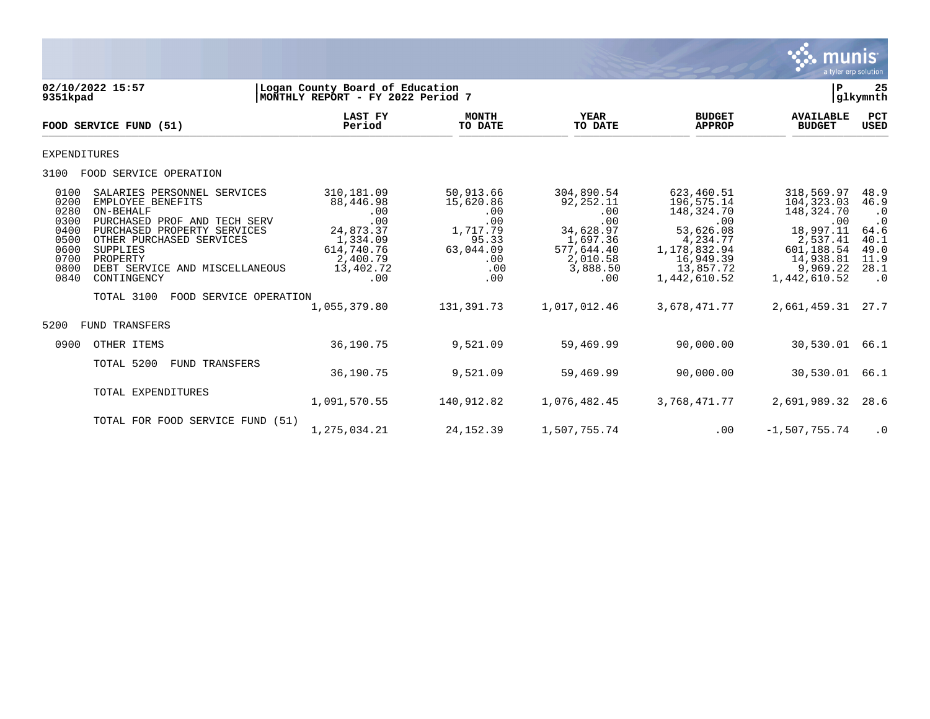

| 9351kpad                                                                     | 02/10/2022 15:57                                                                                                                                                                                                                                                          | Logan County Board of Education<br>MONTHLY REPORT - FY 2022 Period 7                                         |                                                                                             |                                                                                                             |                                                                                                                                  | P                                                                                                                              | 25<br> glkymnth                                                                             |
|------------------------------------------------------------------------------|---------------------------------------------------------------------------------------------------------------------------------------------------------------------------------------------------------------------------------------------------------------------------|--------------------------------------------------------------------------------------------------------------|---------------------------------------------------------------------------------------------|-------------------------------------------------------------------------------------------------------------|----------------------------------------------------------------------------------------------------------------------------------|--------------------------------------------------------------------------------------------------------------------------------|---------------------------------------------------------------------------------------------|
|                                                                              | FOOD SERVICE FUND (51)                                                                                                                                                                                                                                                    | LAST FY<br>Period                                                                                            | <b>MONTH</b><br>TO DATE                                                                     | <b>YEAR</b><br>TO DATE                                                                                      | <b>BUDGET</b><br><b>APPROP</b>                                                                                                   | <b>AVAILABLE</b><br><b>BUDGET</b>                                                                                              | PCT<br><b>USED</b>                                                                          |
| <b>EXPENDITURES</b>                                                          |                                                                                                                                                                                                                                                                           |                                                                                                              |                                                                                             |                                                                                                             |                                                                                                                                  |                                                                                                                                |                                                                                             |
| 3100                                                                         | FOOD SERVICE OPERATION                                                                                                                                                                                                                                                    |                                                                                                              |                                                                                             |                                                                                                             |                                                                                                                                  |                                                                                                                                |                                                                                             |
| 0100<br>0200<br>0280<br>0300<br>0400<br>0500<br>0600<br>0700<br>0800<br>0840 | SALARIES PERSONNEL SERVICES<br>EMPLOYEE BENEFITS<br>ON-BEHALF<br>PURCHASED PROF AND TECH SERV<br>PURCHASED PROPERTY SERVICES<br>OTHER PURCHASED SERVICES<br>SUPPLIES<br>PROPERTY<br>DEBT SERVICE AND MISCELLANEOUS<br>CONTINGENCY<br>TOTAL 3100<br>FOOD SERVICE OPERATION | 310,181.09<br>88,446.98<br>.00<br>.00<br>24,873.37<br>1,334.09<br>614,740.76<br>2,400.79<br>13,402.72<br>.00 | 50,913.66<br>15,620.86<br>.00<br>.00<br>1,717.79<br>95.33<br>63,044.09<br>.00<br>.00<br>.00 | 304,890.54<br>92,252.11<br>.00<br>.00<br>34,628.97<br>1,697.36<br>577,644.40<br>2,010.58<br>3,888.50<br>.00 | 623,460.51<br>196,575.14<br>148,324.70<br>.00<br>53,626.08<br>4,234.77<br>1,178,832.94<br>16,949.39<br>13,857.72<br>1,442,610.52 | 318,569.97<br>104, 323.03<br>148,324.70<br>.00<br>18,997.11<br>2,537.41<br>601,188.54<br>14,938.81<br>9,969.22<br>1,442,610.52 | 48.9<br>46.9<br>$\cdot$ 0<br>$\cdot$ 0<br>64.6<br>40.1<br>49.0<br>11.9<br>28.1<br>$\cdot$ 0 |
| 5200                                                                         | TRANSFERS<br>FUND                                                                                                                                                                                                                                                         | 1,055,379.80                                                                                                 | 131, 391. 73                                                                                | 1,017,012.46                                                                                                | 3,678,471.77                                                                                                                     | 2,661,459.31                                                                                                                   | 27.7                                                                                        |
| 0900                                                                         | OTHER ITEMS                                                                                                                                                                                                                                                               | 36,190.75                                                                                                    | 9,521.09                                                                                    | 59,469.99                                                                                                   | 90,000.00                                                                                                                        | 30,530.01                                                                                                                      | 66.1                                                                                        |
|                                                                              | TOTAL 5200<br>FUND TRANSFERS                                                                                                                                                                                                                                              | 36,190.75                                                                                                    | 9,521.09                                                                                    | 59,469.99                                                                                                   | 90,000.00                                                                                                                        | 30,530.01                                                                                                                      | 66.1                                                                                        |
|                                                                              | TOTAL EXPENDITURES                                                                                                                                                                                                                                                        | 1,091,570.55                                                                                                 | 140,912.82                                                                                  | 1,076,482.45                                                                                                | 3,768,471.77                                                                                                                     | 2,691,989.32                                                                                                                   | 28.6                                                                                        |
|                                                                              | TOTAL FOR FOOD SERVICE FUND (51)                                                                                                                                                                                                                                          | 1,275,034.21                                                                                                 | 24, 152.39                                                                                  | 1,507,755.74                                                                                                | .00                                                                                                                              | $-1,507,755.74$                                                                                                                | $\cdot$ 0                                                                                   |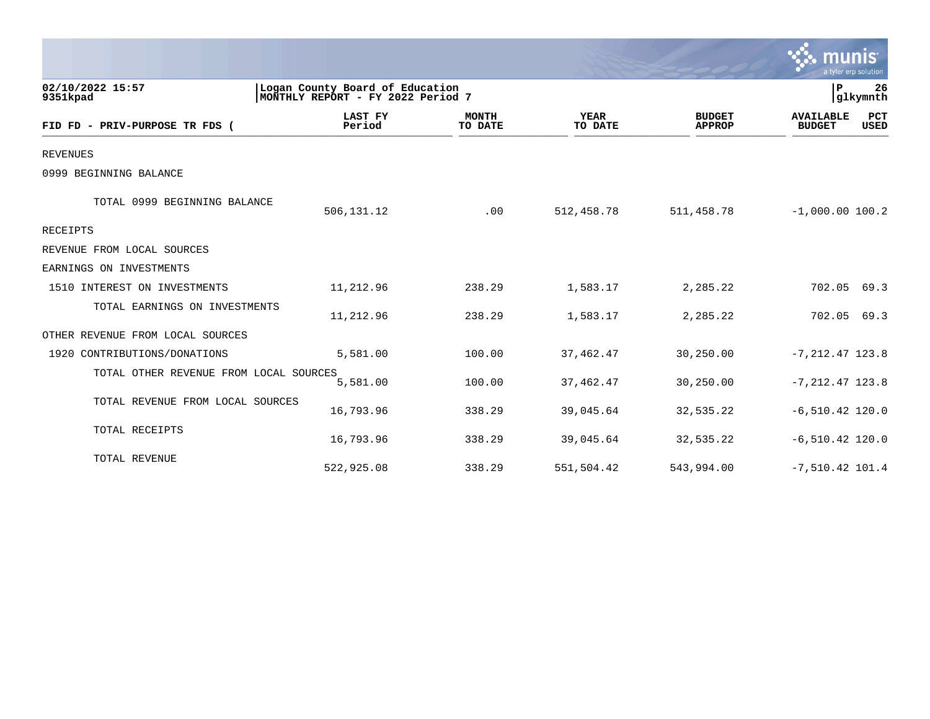|                                        |                                                                      |                         |                        |                                | munis<br>a tyler erp solution     |                    |
|----------------------------------------|----------------------------------------------------------------------|-------------------------|------------------------|--------------------------------|-----------------------------------|--------------------|
| 02/10/2022 15:57<br>9351kpad           | Logan County Board of Education<br>MONTHLY REPORT - FY 2022 Period 7 |                         |                        |                                | $\mathbf{P}$<br>glkymnth          | 26                 |
| FID FD - PRIV-PURPOSE TR FDS (         | LAST FY<br>Period                                                    | <b>MONTH</b><br>TO DATE | <b>YEAR</b><br>TO DATE | <b>BUDGET</b><br><b>APPROP</b> | <b>AVAILABLE</b><br><b>BUDGET</b> | PCT<br><b>USED</b> |
| <b>REVENUES</b>                        |                                                                      |                         |                        |                                |                                   |                    |
| 0999 BEGINNING BALANCE                 |                                                                      |                         |                        |                                |                                   |                    |
| TOTAL 0999 BEGINNING BALANCE           | 506,131.12                                                           | .00                     | 512,458.78             | 511,458.78                     | $-1,000.00$ 100.2                 |                    |
| <b>RECEIPTS</b>                        |                                                                      |                         |                        |                                |                                   |                    |
| REVENUE FROM LOCAL SOURCES             |                                                                      |                         |                        |                                |                                   |                    |
| EARNINGS ON INVESTMENTS                |                                                                      |                         |                        |                                |                                   |                    |
| 1510 INTEREST ON INVESTMENTS           | 11,212.96                                                            | 238.29                  | 1,583.17               | 2,285.22                       | 702.05                            | 69.3               |
| TOTAL EARNINGS ON INVESTMENTS          | 11,212.96                                                            | 238.29                  | 1,583.17               | 2,285.22                       | 702.05                            | 69.3               |
| OTHER REVENUE FROM LOCAL SOURCES       |                                                                      |                         |                        |                                |                                   |                    |
| 1920 CONTRIBUTIONS/DONATIONS           | 5,581.00                                                             | 100.00                  | 37,462.47              | 30,250.00                      | $-7, 212.47$ 123.8                |                    |
| TOTAL OTHER REVENUE FROM LOCAL SOURCES | 5,581.00                                                             | 100.00                  | 37,462.47              | 30,250.00                      | $-7, 212.47$ 123.8                |                    |
| TOTAL REVENUE FROM LOCAL SOURCES       | 16,793.96                                                            | 338.29                  | 39,045.64              | 32,535.22                      | $-6, 510.42$ 120.0                |                    |
| TOTAL RECEIPTS                         | 16,793.96                                                            | 338.29                  | 39,045.64              | 32,535.22                      | $-6, 510.42$ 120.0                |                    |
| TOTAL REVENUE                          | 522,925.08                                                           | 338.29                  | 551,504.42             | 543,994.00                     | $-7,510.42$ 101.4                 |                    |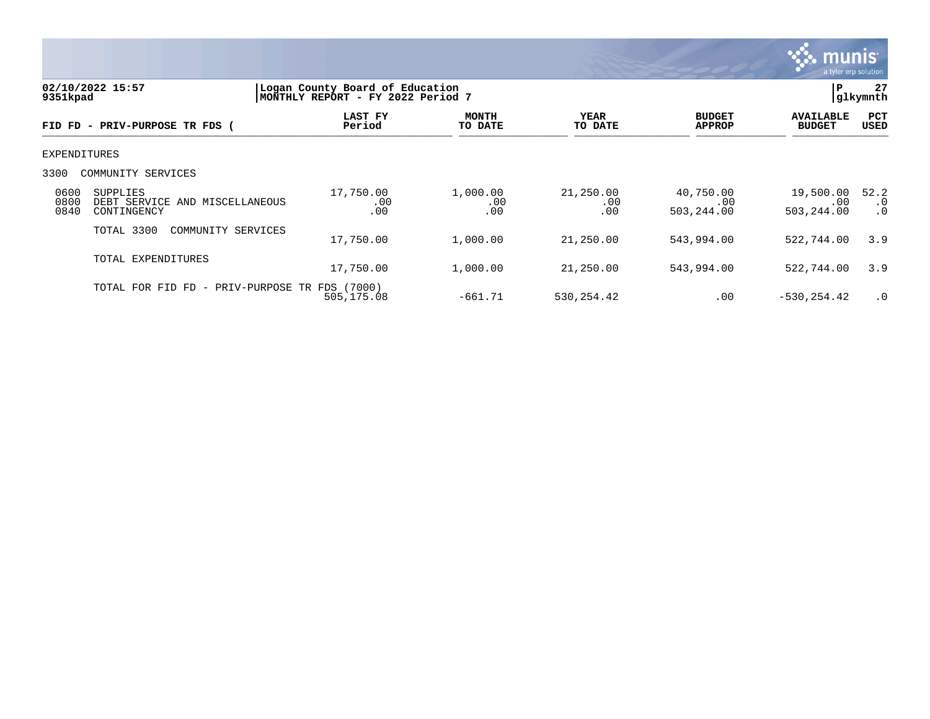

| 02/10/2022 15:57<br>9351kpad |                                                                  | Logan County Board of Education<br>MONTHLY REPORT - FY 2022 Period 7 | ΙP                      | 27<br> glkymnth         |                                |                                   |                                |
|------------------------------|------------------------------------------------------------------|----------------------------------------------------------------------|-------------------------|-------------------------|--------------------------------|-----------------------------------|--------------------------------|
|                              | FID FD - PRIV-PURPOSE TR FDS (                                   | LAST FY<br>Period                                                    | <b>MONTH</b><br>TO DATE | <b>YEAR</b><br>TO DATE  | <b>BUDGET</b><br><b>APPROP</b> | <b>AVAILABLE</b><br><b>BUDGET</b> | <b>PCT</b><br><b>USED</b>      |
| <b>EXPENDITURES</b>          |                                                                  |                                                                      |                         |                         |                                |                                   |                                |
| 3300                         | COMMUNITY SERVICES                                               |                                                                      |                         |                         |                                |                                   |                                |
| 0600<br>0800<br>0840         | <b>SUPPLIES</b><br>DEBT SERVICE AND MISCELLANEOUS<br>CONTINGENCY | 17,750.00<br>.00<br>.00                                              | 1,000.00<br>.00<br>.00  | 21,250.00<br>.00<br>.00 | 40,750.00<br>.00<br>503,244.00 | 19,500.00<br>.00<br>503,244.00    | 52.2<br>$\cdot$ 0<br>$\cdot$ 0 |
|                              | TOTAL 3300<br>COMMUNITY SERVICES                                 | 17,750.00                                                            | 1,000.00                | 21,250.00               | 543,994.00                     | 522,744.00                        | 3.9                            |
|                              | TOTAL EXPENDITURES                                               | 17,750.00                                                            | 1,000.00                | 21,250.00               | 543,994.00                     | 522,744.00                        | 3.9                            |
|                              | TOTAL FOR FID FD -                                               | PRIV-PURPOSE TR FDS (7000)<br>505,175.08                             | $-661.71$               | 530, 254.42             | .00                            | $-530, 254.42$                    | $\cdot$ 0                      |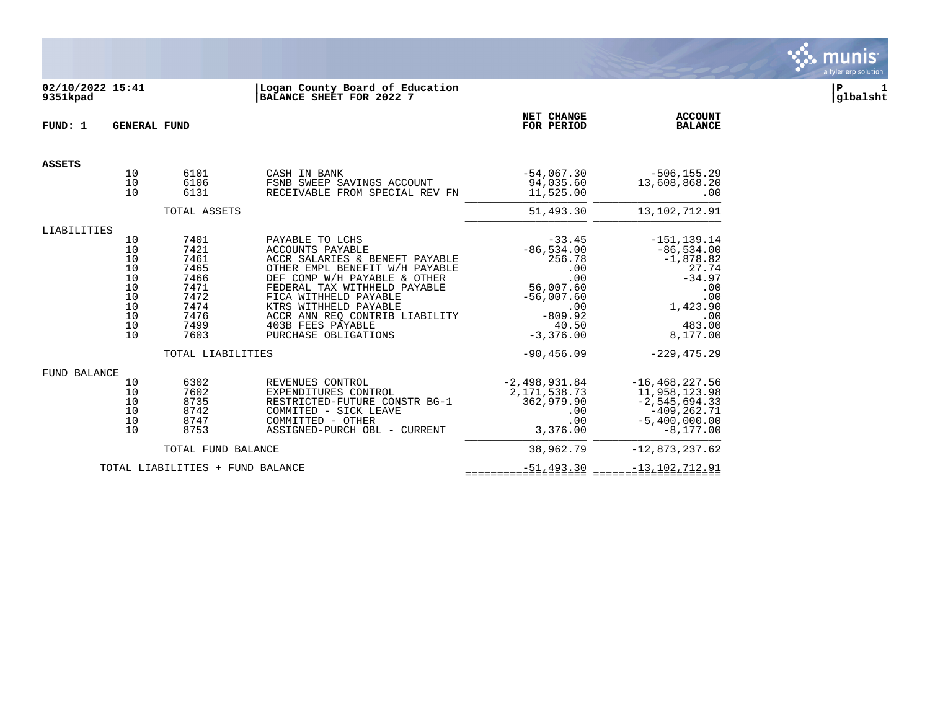

## **02/10/2022 15:41 |Logan County Board of Education |P 1 9351kpad |BALANCE SHEET FOR 2022 7 |glbalsht**

| FUND: 1                                                                                                                                                                                                                                                                                                                                                                                                                                                                           | <b>GENERAL FUND</b>              |                                              |                                                                                                                                                         | NET CHANGE<br>FOR PERIOD                                                                                                  | <b>ACCOUNT</b><br><b>BALANCE</b>                                                                                          |
|-----------------------------------------------------------------------------------------------------------------------------------------------------------------------------------------------------------------------------------------------------------------------------------------------------------------------------------------------------------------------------------------------------------------------------------------------------------------------------------|----------------------------------|----------------------------------------------|---------------------------------------------------------------------------------------------------------------------------------------------------------|---------------------------------------------------------------------------------------------------------------------------|---------------------------------------------------------------------------------------------------------------------------|
| <b>ASSETS</b>                                                                                                                                                                                                                                                                                                                                                                                                                                                                     | 10<br>10                         | 6101<br>6106                                 | CASH IN BANK<br>FSNB SWEEP SAVINGS ACCOUNT                                                                                                              | $-54,067.30$<br>94,035.60                                                                                                 | $-506, 155.29$<br>13,608,868.20                                                                                           |
|                                                                                                                                                                                                                                                                                                                                                                                                                                                                                   | 10                               | 6131                                         | RECEIVABLE FROM SPECIAL REV FN                                                                                                                          | 11,525.00                                                                                                                 | .00                                                                                                                       |
|                                                                                                                                                                                                                                                                                                                                                                                                                                                                                   |                                  | TOTAL ASSETS                                 |                                                                                                                                                         | 51,493.30                                                                                                                 | 13, 102, 712. 91                                                                                                          |
| LIABILITIES<br>7401<br>10<br>PAYABLE TO LCHS<br>7421<br>10<br>ACCOUNTS PAYABLE<br>10<br>7461<br>ACCR SALARIES & BENEFT PAYABLE<br>10<br>7465<br>OTHER EMPL BENEFIT W/H PAYABLE<br>10<br>7466<br>DEF COMP W/H PAYABLE & OTHER<br>10<br>7471<br>FEDERAL TAX WITHHELD PAYABLE<br>10<br>7472<br>FICA WITHHELD PAYABLE<br>10<br>7474<br>KTRS WITHHELD PAYABLE<br>7476<br>10<br>ACCR ANN REO CONTRIB LIABILITY<br>10<br>7499<br>403B FEES PAYABLE<br>10<br>7603<br>PURCHASE OBLIGATIONS |                                  |                                              |                                                                                                                                                         | $-33.45$<br>$-86,534.00$<br>256.78<br>.00<br>.00<br>56,007.60<br>$-56,007.60$<br>.00<br>$-809.92$<br>40.50<br>$-3,376.00$ | $-151, 139.14$<br>$-86,534.00$<br>$-1,878.82$<br>27.74<br>$-34.97$<br>.00<br>.00<br>1,423.90<br>.00<br>483.00<br>8,177.00 |
|                                                                                                                                                                                                                                                                                                                                                                                                                                                                                   |                                  | TOTAL LIABILITIES                            |                                                                                                                                                         | $-90, 456.09$                                                                                                             | $-229, 475.29$                                                                                                            |
| FUND BALANCE                                                                                                                                                                                                                                                                                                                                                                                                                                                                      | 10<br>10<br>10<br>10<br>10<br>10 | 6302<br>7602<br>8735<br>8742<br>8747<br>8753 | REVENUES CONTROL<br>EXPENDITURES CONTROL<br>RESTRICTED-FUTURE CONSTR BG-1<br>COMMITED - SICK LEAVE<br>COMMITTED - OTHER<br>ASSIGNED-PURCH OBL - CURRENT | $-2,498,931.84$<br>2, 171, 538.73<br>362,979.90<br>.00<br>.00<br>3,376.00                                                 | $-16, 468, 227.56$<br>11,958,123.98<br>$-2, 545, 694.33$<br>$-409, 262, 71$<br>$-5,400,000.00$<br>$-8.177.00$             |
|                                                                                                                                                                                                                                                                                                                                                                                                                                                                                   |                                  | TOTAL FUND BALANCE                           |                                                                                                                                                         | 38,962.79                                                                                                                 | $-12,873,237.62$                                                                                                          |
|                                                                                                                                                                                                                                                                                                                                                                                                                                                                                   |                                  | TOTAL LIABILITIES + FUND BALANCE             |                                                                                                                                                         | $-51, 493.30$                                                                                                             | $-13, 102, 712.91$                                                                                                        |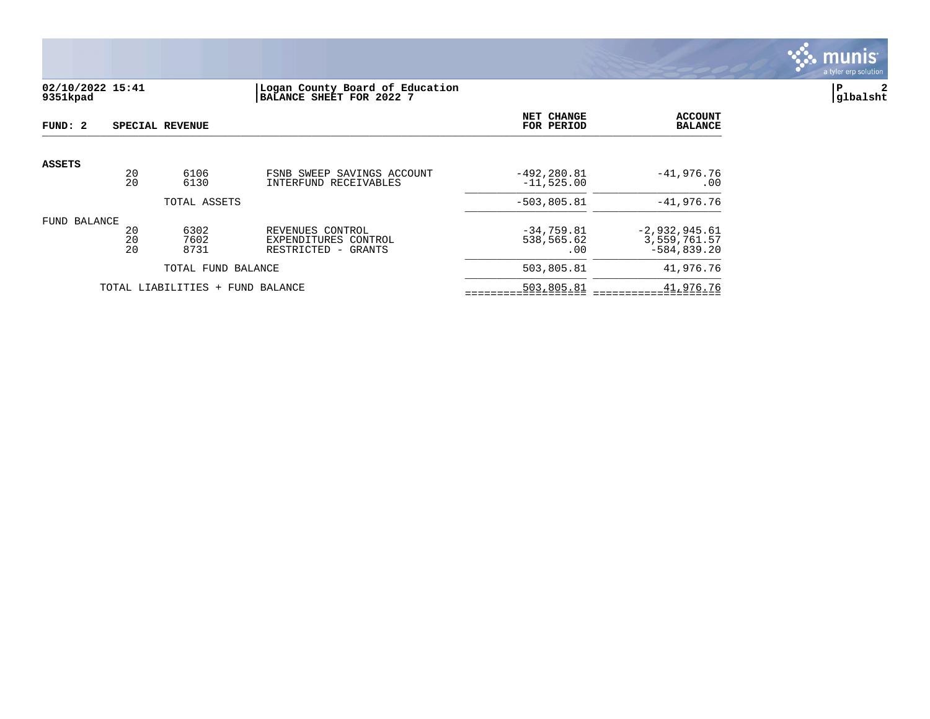

# **02/10/2022 15:41 |Logan County Board of Education |P 2 9351kpad |BALANCE SHEET FOR 2022 7 |glbalsht**

| FUND: 2         |          | SPECIAL REVENUE                  |                                             | NET CHANGE<br>FOR PERIOD | <b>ACCOUNT</b><br><b>BALANCE</b> |
|-----------------|----------|----------------------------------|---------------------------------------------|--------------------------|----------------------------------|
|                 |          |                                  |                                             |                          |                                  |
| ASSETS          | 20       | 6106                             | FSNB SWEEP SAVINGS ACCOUNT                  | $-492, 280.81$           | $-41,976.76$                     |
|                 | 20       | 6130                             | INTERFUND RECEIVABLES                       | $-11,525.00$             | .00                              |
|                 |          | TOTAL ASSETS                     |                                             | $-503, 805.81$           | $-41,976.76$                     |
| BALANCE<br>FUND |          |                                  |                                             |                          |                                  |
|                 | 20       | 6302                             | REVENUES CONTROL                            | $-34,759.81$             | $-2,932,945.61$                  |
|                 | 20<br>20 | 7602<br>8731                     | EXPENDITURES CONTROL<br>RESTRICTED - GRANTS | 538,565.62<br>.00        | 3,559,761.57<br>$-584, 839.20$   |
|                 |          | TOTAL FUND BALANCE               |                                             | 503,805.81               | 41,976.76                        |
|                 |          | TOTAL LIABILITIES + FUND BALANCE |                                             | 503,805.81               | 41,976.76                        |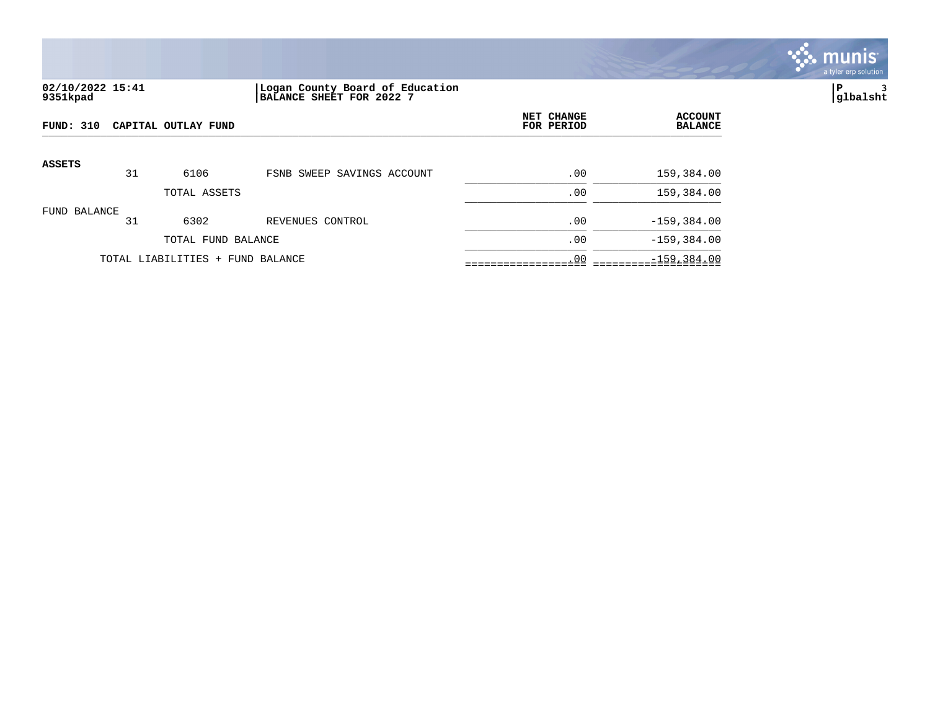

## **02/10/2022 15:41 |Logan County Board of Education |P 3 9351kpad |BALANCE SHEET FOR 2022 7 |glbalsht**

| <b>FUND: 310</b> |    | CAPITAL OUTLAY FUND              | NET CHANGE<br>FOR PERIOD   | <b>ACCOUNT</b><br><b>BALANCE</b> |                |
|------------------|----|----------------------------------|----------------------------|----------------------------------|----------------|
| <b>ASSETS</b>    |    |                                  |                            |                                  |                |
|                  | 31 | 6106                             | FSNB SWEEP SAVINGS ACCOUNT | .00                              | 159,384.00     |
|                  |    | TOTAL ASSETS                     |                            | .00                              | 159,384.00     |
| FUND BALANCE     | 31 | 6302                             | REVENUES CONTROL           | .00                              | $-159,384.00$  |
|                  |    | TOTAL FUND BALANCE               |                            | .00                              | $-159, 384.00$ |
|                  |    | TOTAL LIABILITIES + FUND BALANCE | .00                        | $-159, 384.00$                   |                |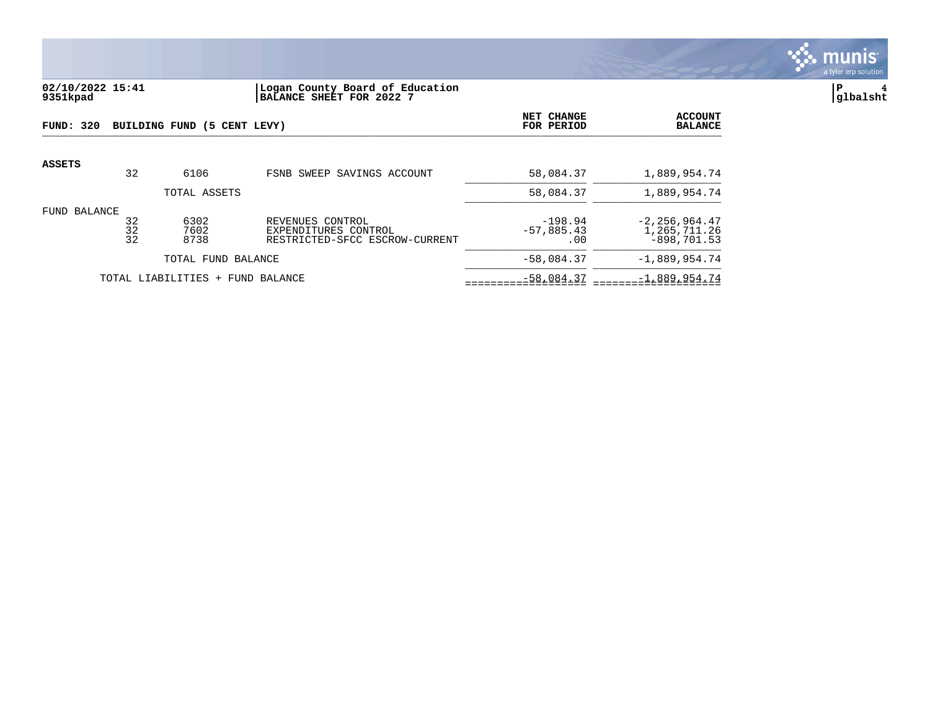

### **02/10/2022 15:41 |Logan County Board of Education |P 4 9351kpad |BALANCE SHEET FOR 2022 7 |glbalsht**

| FUND: 320     |                | BUILDING FUND (5 CENT LEVY) |                                                                            | NET CHANGE<br>FOR PERIOD         | <b>ACCOUNT</b><br><b>BALANCE</b>                   |
|---------------|----------------|-----------------------------|----------------------------------------------------------------------------|----------------------------------|----------------------------------------------------|
| <b>ASSETS</b> | 32             | 6106                        | FSNB SWEEP SAVINGS ACCOUNT                                                 | 58,084.37                        | 1,889,954.74                                       |
|               |                | TOTAL ASSETS                |                                                                            | 58,084.37                        | 1,889,954.74                                       |
| FUND BALANCE  | 32<br>32<br>32 | 6302<br>7602<br>8738        | REVENUES CONTROL<br>EXPENDITURES CONTROL<br>RESTRICTED-SFCC ESCROW-CURRENT | $-198.94$<br>$-57,885.43$<br>.00 | $-2, 256, 964.47$<br>1,265,711.26<br>$-898.701.53$ |
|               |                | TOTAL FUND BALANCE          |                                                                            | $-58,084.37$                     | $-1,889,954.74$                                    |
|               |                | TOTAL LIABILITIES +         | FUND BALANCE                                                               | $-58,084.37$                     | $-1,889,954.74$                                    |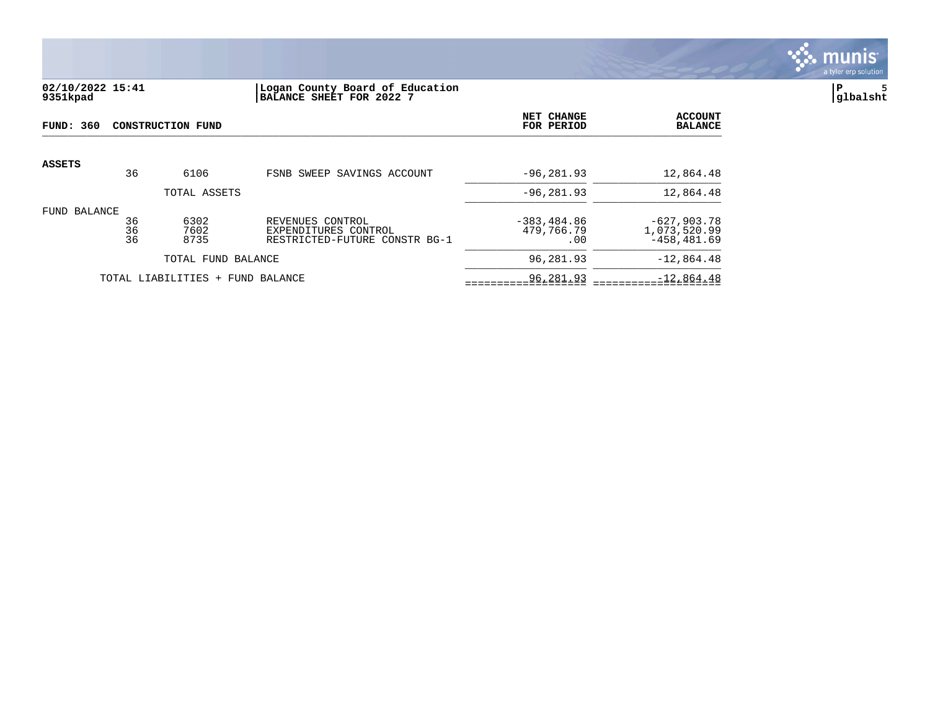

## **02/10/2022 15:41 |Logan County Board of Education |P 5 9351kpad |BALANCE SHEET FOR 2022 7 |glbalsht**

| FUND: 360       |                | CONSTRUCTION FUND                |                                                                           | NET CHANGE<br>FOR PERIOD            | <b>ACCOUNT</b><br><b>BALANCE</b>                |
|-----------------|----------------|----------------------------------|---------------------------------------------------------------------------|-------------------------------------|-------------------------------------------------|
| <b>ASSETS</b>   | 36             | 6106                             | FSNB SWEEP SAVINGS ACCOUNT                                                | $-96, 281, 93$                      | 12,864.48                                       |
|                 |                | TOTAL ASSETS                     |                                                                           | $-96, 281.93$                       | 12,864.48                                       |
| BALANCE<br>FUND | 36<br>36<br>36 | 6302<br>7602<br>8735             | REVENUES CONTROL<br>EXPENDITURES CONTROL<br>RESTRICTED-FUTURE CONSTR BG-1 | $-383, 484.86$<br>479,766.79<br>.00 | $-627,903.78$<br>1,073,520.99<br>$-458, 481.69$ |
|                 |                | TOTAL FUND BALANCE               |                                                                           | 96,281.93                           | $-12,864.48$                                    |
|                 |                | TOTAL LIABILITIES + FUND BALANCE | 96,281.93                                                                 | $-12,864.48$                        |                                                 |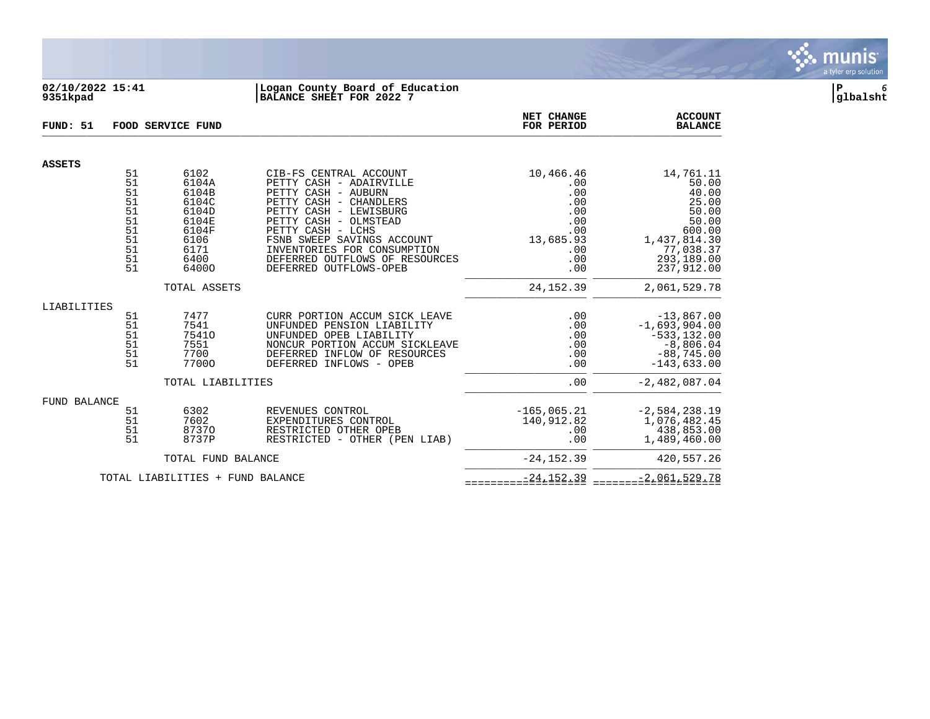

### **02/10/2022 15:41 |Logan County Board of Education |P 6 9351kpad |BALANCE SHEET FOR 2022 7 |glbalsht**

| FUND: 51      |                                                                | FOOD SERVICE FUND                                                                           | NET CHANGE<br>FOR PERIOD                                                                                                                                                                                                                                                                            | <b>ACCOUNT</b><br><b>BALANCE</b>                                                      |                                                                                                                           |
|---------------|----------------------------------------------------------------|---------------------------------------------------------------------------------------------|-----------------------------------------------------------------------------------------------------------------------------------------------------------------------------------------------------------------------------------------------------------------------------------------------------|---------------------------------------------------------------------------------------|---------------------------------------------------------------------------------------------------------------------------|
| <b>ASSETS</b> |                                                                |                                                                                             |                                                                                                                                                                                                                                                                                                     |                                                                                       |                                                                                                                           |
|               | 51<br>51<br>51<br>51<br>51<br>51<br>51<br>51<br>51<br>51<br>51 | 6102<br>6104A<br>6104B<br>6104C<br>6104D<br>6104E<br>6104F<br>6106<br>6171<br>6400<br>64000 | CIB-FS CENTRAL ACCOUNT<br>PETTY CASH - ADAIRVILLE<br>PETTY CASH - AUBURN<br>PETTY CASH - CHANDLERS<br>PETTY CASH - LEWISBURG<br>PETTY CASH - OLMSTEAD<br>PETTY CASH - LCHS<br>FSNB SWEEP SAVINGS ACCOUNT<br>INVENTORIES FOR CONSUMPTION<br>DEFERRED OUTFLOWS OF RESOURCES<br>DEFERRED OUTFLOWS-OPEB | 10,466.46<br>.00<br>.00<br>.00<br>.00<br>.00<br>.00<br>13,685.93<br>.00<br>.00<br>.00 | 14,761.11<br>50.00<br>40.00<br>25.00<br>50.00<br>50.00<br>600.00<br>1,437,814.30<br>77,038.37<br>293,189.00<br>237,912.00 |
|               |                                                                | TOTAL ASSETS                                                                                |                                                                                                                                                                                                                                                                                                     | 24, 152.39                                                                            | 2,061,529.78                                                                                                              |
| LIABILITIES   | 51<br>51<br>51<br>51<br>51<br>51                               | 7477<br>7541<br>75410<br>7551<br>7700<br>77000                                              | CURR PORTION ACCUM SICK LEAVE<br>UNFUNDED PENSION LIABILITY<br>UNFUNDED OPEB LIABILITY<br>NONCUR PORTION ACCUM SICKLEAVE<br>DEFERRED INFLOW OF RESOURCES<br>DEFERRED INFLOWS - OPEB                                                                                                                 | .00<br>.00<br>.00<br>.00<br>.00<br>.00                                                | $-13,867.00$<br>$-1,693,904.00$<br>$-533, 132.00$<br>$-8,806.04$<br>$-88,745.00$<br>$-143,633.00$                         |
|               |                                                                | TOTAL LIABILITIES                                                                           |                                                                                                                                                                                                                                                                                                     | .00                                                                                   | $-2,482,087.04$                                                                                                           |
| FUND BALANCE  | 51<br>51<br>51<br>51                                           | 6302<br>7602<br>87370<br>8737P                                                              | REVENUES CONTROL<br>EXPENDITURES CONTROL<br>RESTRICTED OTHER OPEB<br>RESTRICTED - OTHER (PEN LIAB)                                                                                                                                                                                                  | $-165,065.21$<br>140,912.82<br>.00<br>.00                                             | $-2,584,238.19$<br>1,076,482.45<br>438,853.00<br>1,489,460.00                                                             |
|               |                                                                | TOTAL FUND BALANCE                                                                          |                                                                                                                                                                                                                                                                                                     | $-24, 152.39$                                                                         | 420,557.26                                                                                                                |
|               |                                                                | TOTAL LIABILITIES + FUND BALANCE                                                            | $-24, 152.39$                                                                                                                                                                                                                                                                                       | $-2,061,529.78$                                                                       |                                                                                                                           |